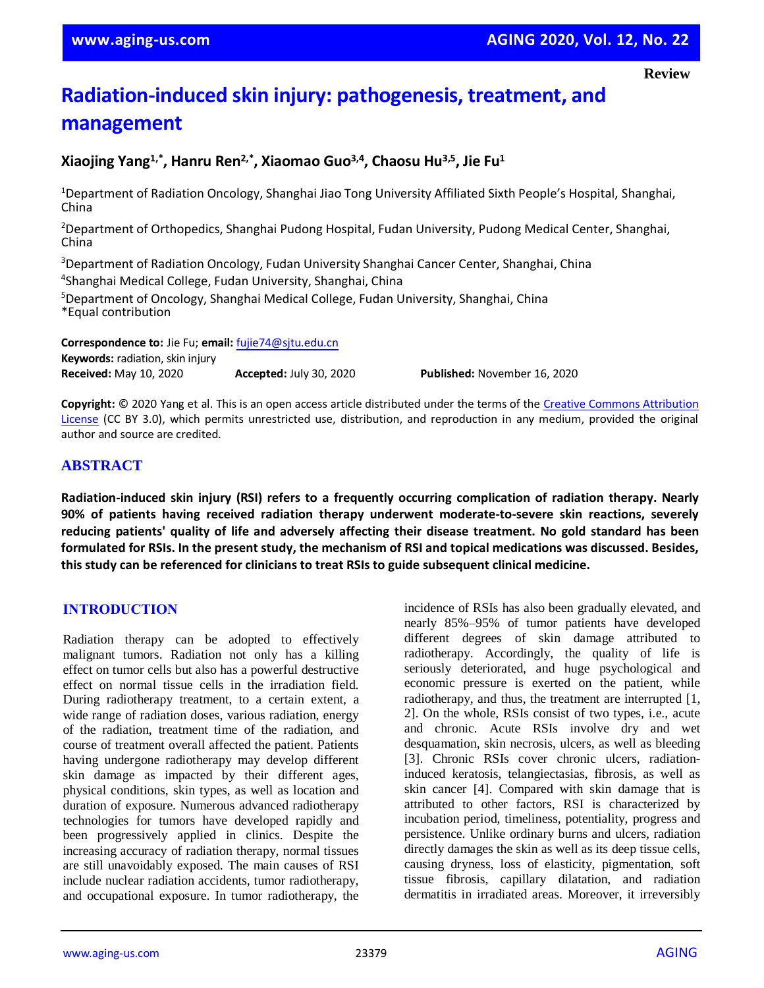# **Radiation-induced skin injury: pathogenesis, treatment, and management**

# **Xiaojing Yang1,\* , Hanru Ren2,\* , Xiaomao Guo3,4, Chaosu Hu3,5, Jie Fu<sup>1</sup>**

<sup>1</sup>Department of Radiation Oncology, Shanghai Jiao Tong University Affiliated Sixth People's Hospital, Shanghai, China

<sup>2</sup>Department of Orthopedics, Shanghai Pudong Hospital, Fudan University, Pudong Medical Center, Shanghai, China

<sup>3</sup>Department of Radiation Oncology, Fudan University Shanghai Cancer Center, Shanghai, China 4 Shanghai Medical College, Fudan University, Shanghai, China

<sup>5</sup>Department of Oncology, Shanghai Medical College, Fudan University, Shanghai, China \*Equal contribution

**Correspondence to:** Jie Fu; **email:** [fujie74@sjtu.edu.cn](mailto:fujie74@sjtu.edu.cn) **Keywords:** radiation, skin injury **Received:** May 10, 2020 **Accepted:** July 30, 2020 **Published:** November 16, 2020

**Copyright:** © 2020 Yang et al. This is an open access article distributed under the terms of th[e Creative Commons Attribution](https://creativecommons.org/licenses/by/3.0/)  [License](https://creativecommons.org/licenses/by/3.0/) (CC BY 3.0), which permits unrestricted use, distribution, and reproduction in any medium, provided the original author and source are credited.

## **ABSTRACT**

**Radiation-induced skin injury (RSI) refers to a frequently occurring complication of radiation therapy. Nearly 90% of patients having received radiation therapy underwent moderate-to-severe skin reactions, severely reducing patients' quality of life and adversely affecting their disease treatment. No gold standard has been** formulated for RSIs. In the present study, the mechanism of RSI and topical medications was discussed. Besides, **this study can be referenced for clinicians to treat RSIs to guide subsequent clinical medicine.**

## **INTRODUCTION**

Radiation therapy can be adopted to effectively malignant tumors. Radiation not only has a killing effect on tumor cells but also has a powerful destructive effect on normal tissue cells in the irradiation field. During radiotherapy treatment, to a certain extent, a wide range of radiation doses, various radiation, energy of the radiation, treatment time of the radiation, and course of treatment overall affected the patient. Patients having undergone radiotherapy may develop different skin damage as impacted by their different ages, physical conditions, skin types, as well as location and duration of exposure. Numerous advanced radiotherapy technologies for tumors have developed rapidly and been progressively applied in clinics. Despite the increasing accuracy of radiation therapy, normal tissues are still unavoidably exposed. The main causes of RSI include nuclear radiation accidents, tumor radiotherapy, and occupational exposure. In tumor radiotherapy, the incidence of RSIs has also been gradually elevated, and nearly 85%–95% of tumor patients have developed different degrees of skin damage attributed to radiotherapy. Accordingly, the quality of life is seriously deteriorated, and huge psychological and economic pressure is exerted on the patient, while radiotherapy, and thus, the treatment are interrupted [1, 2]. On the whole, RSIs consist of two types, i.e., acute and chronic. Acute RSIs involve dry and wet desquamation, skin necrosis, ulcers, as well as bleeding [3]. Chronic RSIs cover chronic ulcers, radiationinduced keratosis, telangiectasias, fibrosis, as well as skin cancer [4]. Compared with skin damage that is attributed to other factors, RSI is characterized by incubation period, timeliness, potentiality, progress and persistence. Unlike ordinary burns and ulcers, radiation directly damages the skin as well as its deep tissue cells, causing dryness, loss of elasticity, pigmentation, soft tissue fibrosis, capillary dilatation, and radiation dermatitis in irradiated areas. Moreover, it irreversibly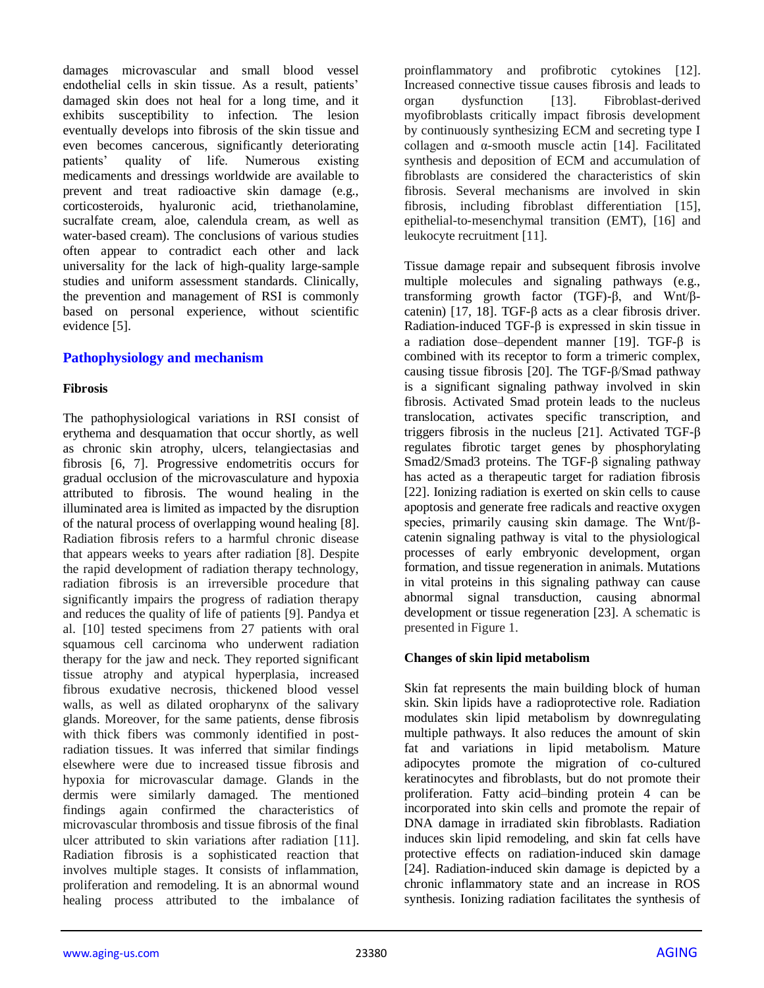damages microvascular and small blood vessel endothelial cells in skin tissue. As a result, patients' damaged skin does not heal for a long time, and it exhibits susceptibility to infection. The lesion eventually develops into fibrosis of the skin tissue and even becomes cancerous, significantly deteriorating patients' quality of life. Numerous existing medicaments and dressings worldwide are available to prevent and treat radioactive skin damage (e.g., corticosteroids, hyaluronic acid, triethanolamine, sucralfate cream, aloe, calendula cream, as well as water-based cream). The conclusions of various studies often appear to contradict each other and lack universality for the lack of high-quality large-sample studies and uniform assessment standards. Clinically, the prevention and management of RSI is commonly based on personal experience, without scientific evidence [5].

## **Pathophysiology and mechanism**

## **Fibrosis**

The pathophysiological variations in RSI consist of erythema and desquamation that occur shortly, as well as chronic skin atrophy, ulcers, telangiectasias and fibrosis [6, 7]. Progressive endometritis occurs for gradual occlusion of the microvasculature and hypoxia attributed to fibrosis. The wound healing in the illuminated area is limited as impacted by the disruption of the natural process of overlapping wound healing [8]. Radiation fibrosis refers to a harmful chronic disease that appears weeks to years after radiation [8]. Despite the rapid development of radiation therapy technology, radiation fibrosis is an irreversible procedure that significantly impairs the progress of radiation therapy and reduces the quality of life of patients [9]. Pandya et al. [10] tested specimens from 27 patients with oral squamous cell carcinoma who underwent radiation therapy for the jaw and neck. They reported significant tissue atrophy and atypical hyperplasia, increased fibrous exudative necrosis, thickened blood vessel walls, as well as dilated oropharynx of the salivary glands. Moreover, for the same patients, dense fibrosis with thick fibers was commonly identified in postradiation tissues. It was inferred that similar findings elsewhere were due to increased tissue fibrosis and hypoxia for microvascular damage. Glands in the dermis were similarly damaged. The mentioned findings again confirmed the characteristics of microvascular thrombosis and tissue fibrosis of the final ulcer attributed to skin variations after radiation [11]. Radiation fibrosis is a sophisticated reaction that involves multiple stages. It consists of inflammation, proliferation and remodeling. It is an abnormal wound healing process attributed to the imbalance of proinflammatory and profibrotic cytokines [12]. Increased connective tissue causes fibrosis and leads to organ dysfunction [13]. Fibroblast-derived myofibroblasts critically impact fibrosis development by continuously synthesizing ECM and secreting type I collagen and α-smooth muscle actin [14]. Facilitated synthesis and deposition of ECM and accumulation of fibroblasts are considered the characteristics of skin fibrosis. Several mechanisms are involved in skin fibrosis, including fibroblast differentiation [15], epithelial-to-mesenchymal transition (EMT), [16] and leukocyte recruitment [11].

Tissue damage repair and subsequent fibrosis involve multiple molecules and signaling pathways (e.g., transforming growth factor (TGF)-β, and Wnt/βcatenin) [17, 18]. TGF-β acts as a clear fibrosis driver. Radiation-induced TGF-β is expressed in skin tissue in a radiation dose–dependent manner [19]. TGF-β is combined with its receptor to form a trimeric complex, causing tissue fibrosis [20]. The TGF-β/Smad pathway is a significant signaling pathway involved in skin fibrosis. Activated Smad protein leads to the nucleus translocation, activates specific transcription, and triggers fibrosis in the nucleus [21]. Activated TGF-β regulates fibrotic target genes by phosphorylating Smad2/Smad3 proteins. The TGF-β signaling pathway has acted as a therapeutic target for radiation fibrosis [22]. Ionizing radiation is exerted on skin cells to cause apoptosis and generate free radicals and reactive oxygen species, primarily causing skin damage. The Wnt/βcatenin signaling pathway is vital to the physiological processes of early embryonic development, organ formation, and tissue regeneration in animals. Mutations in vital proteins in this signaling pathway can cause abnormal signal transduction, causing abnormal development or tissue regeneration [23]. A schematic is presented in Figure 1.

# **Changes of skin lipid metabolism**

Skin fat represents the main building block of human skin. Skin lipids have a radioprotective role. Radiation modulates skin lipid metabolism by downregulating multiple pathways. It also reduces the amount of skin fat and variations in lipid metabolism. Mature adipocytes promote the migration of co-cultured keratinocytes and fibroblasts, but do not promote their proliferation. Fatty acid–binding protein 4 can be incorporated into skin cells and promote the repair of DNA damage in irradiated skin fibroblasts. Radiation induces skin lipid remodeling, and skin fat cells have protective effects on radiation-induced skin damage [24]. Radiation-induced skin damage is depicted by a chronic inflammatory state and an increase in ROS synthesis. Ionizing radiation facilitates the synthesis of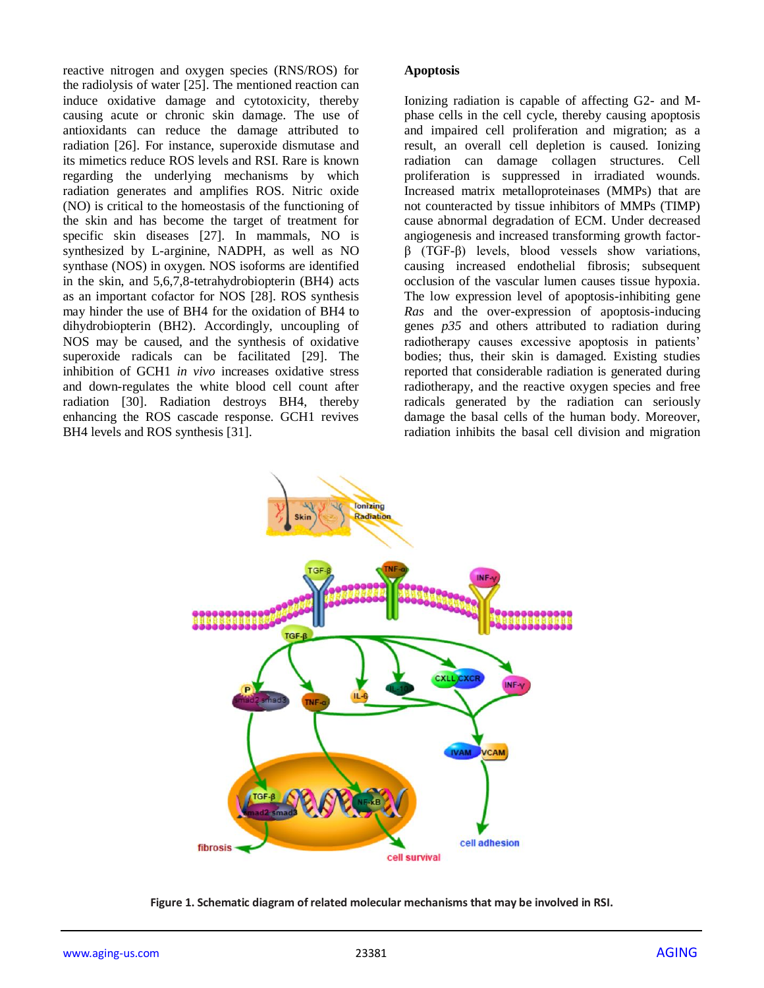reactive nitrogen and oxygen species (RNS/ROS) for the radiolysis of water [25]. The mentioned reaction can induce oxidative damage and cytotoxicity, thereby causing acute or chronic skin damage. The use of antioxidants can reduce the damage attributed to radiation [26]. For instance, superoxide dismutase and its mimetics reduce ROS levels and RSI. Rare is known regarding the underlying mechanisms by which radiation generates and amplifies ROS. Nitric oxide (NO) is critical to the homeostasis of the functioning of the skin and has become the target of treatment for specific skin diseases [27]. In mammals, NO is synthesized by L-arginine, NADPH, as well as NO synthase (NOS) in oxygen. NOS isoforms are identified in the skin, and 5,6,7,8-tetrahydrobiopterin (BH4) acts as an important cofactor for NOS [28]. ROS synthesis may hinder the use of BH4 for the oxidation of BH4 to dihydrobiopterin (BH2). Accordingly, uncoupling of NOS may be caused, and the synthesis of oxidative superoxide radicals can be facilitated [29]. The inhibition of GCH1 *in vivo* increases oxidative stress and down-regulates the white blood cell count after radiation [30]. Radiation destroys BH4, thereby enhancing the ROS cascade response. GCH1 revives BH4 levels and ROS synthesis [31].

#### **Apoptosis**

Ionizing radiation is capable of affecting G2- and Mphase cells in the cell cycle, thereby causing apoptosis and impaired cell proliferation and migration; as a result, an overall cell depletion is caused. Ionizing radiation can damage collagen structures. Cell proliferation is suppressed in irradiated wounds. Increased matrix metalloproteinases (MMPs) that are not counteracted by tissue inhibitors of MMPs (TIMP) cause abnormal degradation of ECM. Under decreased angiogenesis and increased transforming growth factorβ (TGF-β) levels, blood vessels show variations, causing increased endothelial fibrosis; subsequent occlusion of the vascular lumen causes tissue hypoxia. The low expression level of apoptosis-inhibiting gene *Ras* and the over-expression of apoptosis-inducing genes *p35* and others attributed to radiation during radiotherapy causes excessive apoptosis in patients' bodies; thus, their skin is damaged. Existing studies reported that considerable radiation is generated during radiotherapy, and the reactive oxygen species and free radicals generated by the radiation can seriously damage the basal cells of the human body. Moreover, radiation inhibits the basal cell division and migration



**Figure 1. Schematic diagram of related molecular mechanisms that may be involved in RSI.**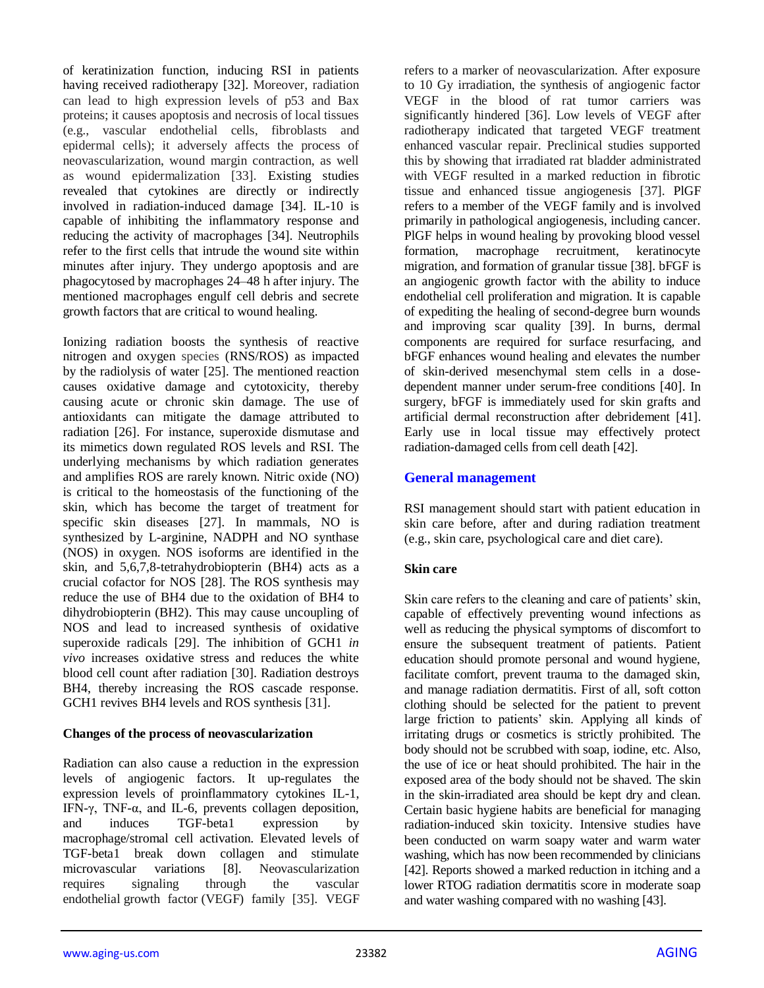of keratinization function, inducing RSI in patients having received radiotherapy [32]. Moreover, radiation can lead to high expression levels of p53 and Bax proteins; it causes apoptosis and necrosis of local tissues (e.g., vascular endothelial cells, fibroblasts and epidermal cells); it adversely affects the process of neovascularization, wound margin contraction, as well as wound epidermalization [33]. Existing studies revealed that cytokines are directly or indirectly involved in radiation-induced damage [34]. IL-10 is capable of inhibiting the inflammatory response and reducing the activity of macrophages [34]. Neutrophils refer to the first cells that intrude the wound site within minutes after injury. They undergo apoptosis and are phagocytosed by macrophages 24–48 h after injury. The mentioned macrophages engulf cell debris and secrete growth factors that are critical to wound healing.

Ionizing radiation boosts the synthesis of reactive nitrogen and oxygen species (RNS/ROS) as impacted by the radiolysis of water [25]. The mentioned reaction causes oxidative damage and cytotoxicity, thereby causing acute or chronic skin damage. The use of antioxidants can mitigate the damage attributed to radiation [26]. For instance, superoxide dismutase and its mimetics down regulated ROS levels and RSI. The underlying mechanisms by which radiation generates and amplifies ROS are rarely known. Nitric oxide (NO) is critical to the homeostasis of the functioning of the skin, which has become the target of treatment for specific skin diseases [27]. In mammals, NO is synthesized by L-arginine, NADPH and NO synthase (NOS) in oxygen. NOS isoforms are identified in the skin, and 5,6,7,8-tetrahydrobiopterin (BH4) acts as a crucial cofactor for NOS [28]. The ROS synthesis may reduce the use of BH4 due to the oxidation of BH4 to dihydrobiopterin (BH2). This may cause uncoupling of NOS and lead to increased synthesis of oxidative superoxide radicals [29]. The inhibition of GCH1 *in vivo* increases oxidative stress and reduces the white blood cell count after radiation [30]. Radiation destroys BH4, thereby increasing the ROS cascade response. GCH1 revives BH4 levels and ROS synthesis [31].

## **Changes of the process of neovascularization**

Radiation can also cause a reduction in the expression levels of angiogenic factors. It up-regulates the expression levels of proinflammatory cytokines IL-1, IFN-γ, TNF-α, and IL-6, prevents collagen deposition, and induces TGF-beta1 expression by macrophage/stromal cell activation. Elevated levels of TGF-beta1 break down collagen and stimulate microvascular variations [8]. Neovascularization requires signaling through the vascular endothelial growth factor (VEGF) family [35]. VEGF refers to a marker of neovascularization. After exposure to 10 Gy irradiation, the synthesis of angiogenic factor VEGF in the blood of rat tumor carriers was significantly hindered [36]. Low levels of VEGF after radiotherapy indicated that targeted VEGF treatment enhanced vascular repair. Preclinical studies supported this by showing that irradiated rat bladder administrated with VEGF resulted in a marked reduction in fibrotic tissue and enhanced tissue angiogenesis [37]. PlGF refers to a member of the VEGF family and is involved primarily in pathological angiogenesis, including cancer. PlGF helps in wound healing by provoking blood vessel formation, macrophage recruitment, keratinocyte migration, and formation of granular tissue [38]. bFGF is an angiogenic growth factor with the ability to induce endothelial cell proliferation and migration. It is capable of expediting the healing of second-degree burn wounds and improving scar quality [39]. In burns, dermal components are required for surface resurfacing, and bFGF enhances wound healing and elevates the number of skin-derived mesenchymal stem cells in a dosedependent manner under serum-free conditions [40]. In surgery, bFGF is immediately used for skin grafts and artificial dermal reconstruction after debridement [41]. Early use in local tissue may effectively protect radiation-damaged cells from cell death [42].

# **General management**

RSI management should start with patient education in skin care before, after and during radiation treatment (e.g., skin care, psychological care and diet care).

# **Skin care**

Skin care refers to the cleaning and care of patients' skin, capable of effectively preventing wound infections as well as reducing the physical symptoms of discomfort to ensure the subsequent treatment of patients. Patient education should promote personal and wound hygiene, facilitate comfort, prevent trauma to the damaged skin, and manage radiation dermatitis. First of all, soft cotton clothing should be selected for the patient to prevent large friction to patients' skin. Applying all kinds of irritating drugs or cosmetics is strictly prohibited. The body should not be scrubbed with soap, iodine, etc. Also, the use of ice or heat should prohibited. The hair in the exposed area of the body should not be shaved. The skin in the skin-irradiated area should be kept dry and clean. Certain basic hygiene habits are beneficial for managing radiation-induced skin toxicity. Intensive studies have been conducted on warm soapy water and warm water washing, which has now been recommended by clinicians [42]. Reports showed a marked reduction in itching and a lower RTOG radiation dermatitis score in moderate soap and water washing compared with no washing [43].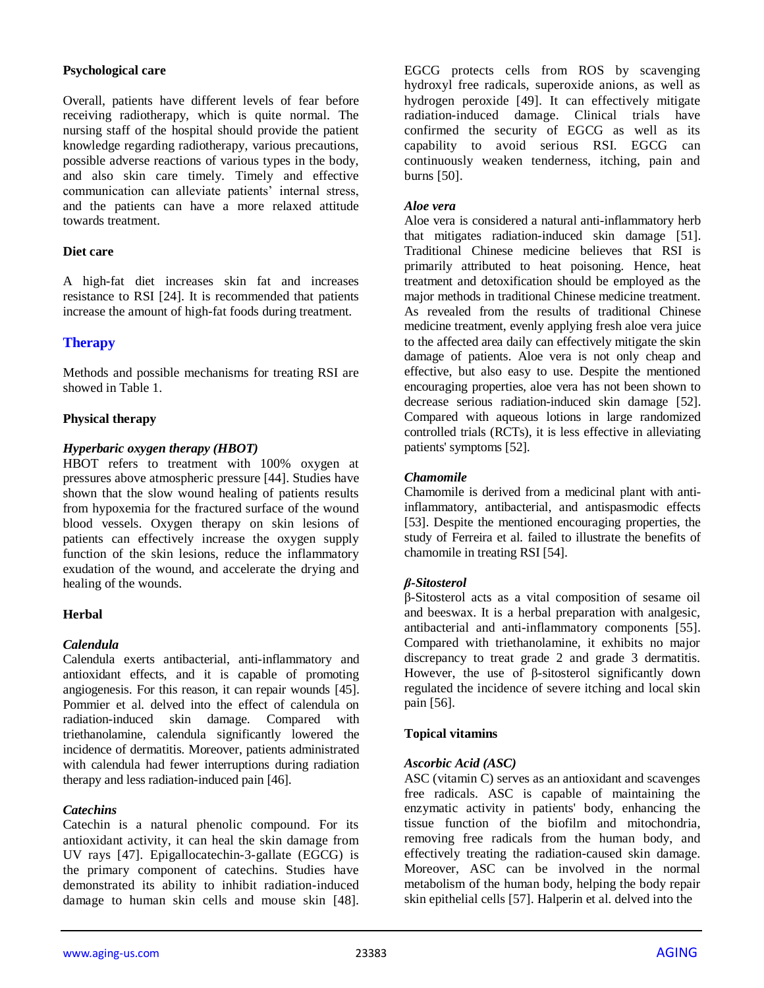#### **Psychological care**

Overall, patients have different levels of fear before receiving radiotherapy, which is quite normal. The nursing staff of the hospital should provide the patient knowledge regarding radiotherapy, various precautions, possible adverse reactions of various types in the body, and also skin care timely. Timely and effective communication can alleviate patients' internal stress, and the patients can have a more relaxed attitude towards treatment.

## **Diet care**

A high-fat diet increases skin fat and increases resistance to RSI [24]. It is recommended that patients increase the amount of high-fat foods during treatment.

# **Therapy**

Methods and possible mechanisms for treating RSI are showed in Table 1.

## **Physical therapy**

## *Hyperbaric oxygen therapy (HBOT)*

HBOT refers to treatment with 100% oxygen at pressures above atmospheric pressure [44]. Studies have shown that the slow wound healing of patients results from hypoxemia for the fractured surface of the wound blood vessels. Oxygen therapy on skin lesions of patients can effectively increase the oxygen supply function of the skin lesions, reduce the inflammatory exudation of the wound, and accelerate the drying and healing of the wounds.

## **Herbal**

## *Calendula*

Calendula exerts antibacterial, anti-inflammatory and antioxidant effects, and it is capable of promoting angiogenesis. For this reason, it can repair wounds [45]. Pommier et al. delved into the effect of calendula on radiation-induced skin damage. Compared with triethanolamine, calendula significantly lowered the incidence of dermatitis. Moreover, patients administrated with calendula had fewer interruptions during radiation therapy and less radiation-induced pain [46].

## *Catechins*

Catechin is a natural phenolic compound. For its antioxidant activity, it can heal the skin damage from UV rays [47]. Epigallocatechin-3-gallate (EGCG) is the primary component of catechins. Studies have demonstrated its ability to inhibit radiation-induced damage to human skin cells and mouse skin [48].

EGCG protects cells from ROS by scavenging hydroxyl free radicals, superoxide anions, as well as hydrogen peroxide [49]. It can effectively mitigate radiation-induced damage. Clinical trials have confirmed the security of EGCG as well as its capability to avoid serious RSI. EGCG can continuously weaken tenderness, itching, pain and burns [50].

#### *Aloe vera*

Aloe vera is considered a natural anti-inflammatory herb that mitigates radiation-induced skin damage [51]. Traditional Chinese medicine believes that RSI is primarily attributed to heat poisoning. Hence, heat treatment and detoxification should be employed as the major methods in traditional Chinese medicine treatment. As revealed from the results of traditional Chinese medicine treatment, evenly applying fresh aloe vera juice to the affected area daily can effectively mitigate the skin damage of patients. Aloe vera is not only cheap and effective, but also easy to use. Despite the mentioned encouraging properties, aloe vera has not been shown to decrease serious radiation-induced skin damage [52]. Compared with aqueous lotions in large randomized controlled trials (RCTs), it is less effective in alleviating patients' symptoms [52].

## *Chamomile*

Chamomile is derived from a medicinal plant with antiinflammatory, antibacterial, and antispasmodic effects [53]. Despite the mentioned encouraging properties, the study of Ferreira et al. failed to illustrate the benefits of chamomile in treating RSI [54].

## *β-Sitosterol*

β-Sitosterol acts as a vital composition of sesame oil and beeswax. It is a herbal preparation with analgesic, antibacterial and anti-inflammatory components [55]. Compared with triethanolamine, it exhibits no major discrepancy to treat grade 2 and grade 3 dermatitis. However, the use of β-sitosterol significantly down regulated the incidence of severe itching and local skin pain [56].

## **Topical vitamins**

#### *Ascorbic Acid (ASC)*

ASC (vitamin C) serves as an antioxidant and scavenges free radicals. ASC is capable of maintaining the enzymatic activity in patients' body, enhancing the tissue function of the biofilm and mitochondria, removing free radicals from the human body, and effectively treating the radiation-caused skin damage. Moreover, ASC can be involved in the normal metabolism of the human body, helping the body repair skin epithelial cells [57]. Halperin et al. delved into the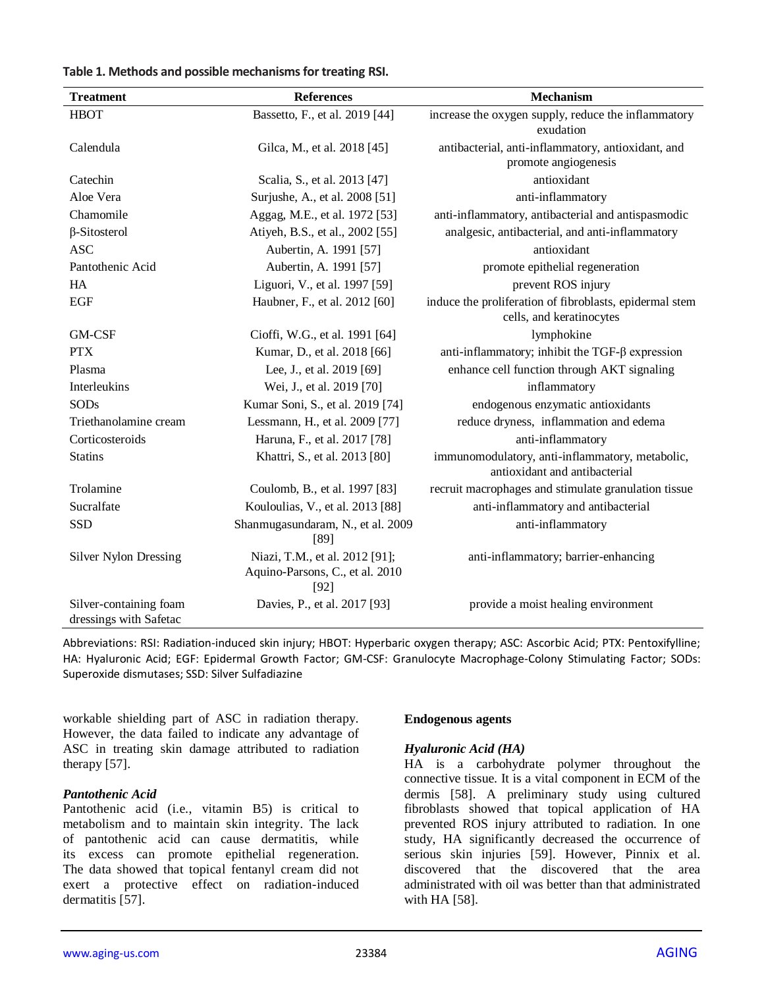| <b>Treatment</b>                                 | <b>References</b>                         | <b>Mechanism</b>                                                                 |
|--------------------------------------------------|-------------------------------------------|----------------------------------------------------------------------------------|
| <b>HBOT</b>                                      | Bassetto, F., et al. 2019 [44]            | increase the oxygen supply, reduce the inflammatory                              |
|                                                  |                                           | exudation                                                                        |
| Calendula                                        | Gilca, M., et al. 2018 [45]               | antibacterial, anti-inflammatory, antioxidant, and                               |
|                                                  |                                           | promote angiogenesis                                                             |
| Catechin                                         | Scalia, S., et al. 2013 [47]              | antioxidant                                                                      |
| Aloe Vera                                        | Surjushe, A., et al. 2008 [51]            | anti-inflammatory                                                                |
| Chamomile                                        | Aggag, M.E., et al. 1972 [53]             | anti-inflammatory, antibacterial and antispasmodic                               |
| $\beta$ -Sitosterol                              | Atiyeh, B.S., et al., 2002 [55]           | analgesic, antibacterial, and anti-inflammatory                                  |
| <b>ASC</b>                                       | Aubertin, A. 1991 [57]                    | antioxidant                                                                      |
| Pantothenic Acid                                 | Aubertin, A. 1991 [57]                    | promote epithelial regeneration                                                  |
| HA                                               | Liguori, V., et al. 1997 [59]             | prevent ROS injury                                                               |
| <b>EGF</b>                                       | Haubner, F., et al. 2012 [60]             | induce the proliferation of fibroblasts, epidermal stem                          |
|                                                  |                                           | cells, and keratinocytes                                                         |
| <b>GM-CSF</b>                                    | Cioffi, W.G., et al. 1991 [64]            | lymphokine                                                                       |
| <b>PTX</b>                                       | Kumar, D., et al. 2018 [66]               | anti-inflammatory; inhibit the TGF- $\beta$ expression                           |
| Plasma                                           | Lee, J., et al. 2019 [69]                 | enhance cell function through AKT signaling                                      |
| Interleukins                                     | Wei, J., et al. 2019 [70]                 | inflammatory                                                                     |
| <b>SODs</b>                                      | Kumar Soni, S., et al. 2019 [74]          | endogenous enzymatic antioxidants                                                |
| Triethanolamine cream                            | Lessmann, H., et al. 2009 [77]            | reduce dryness, inflammation and edema                                           |
| Corticosteroids                                  | Haruna, F., et al. 2017 [78]              | anti-inflammatory                                                                |
| <b>Statins</b>                                   | Khattri, S., et al. 2013 [80]             | immunomodulatory, anti-inflammatory, metabolic,<br>antioxidant and antibacterial |
|                                                  |                                           |                                                                                  |
| Trolamine                                        | Coulomb, B., et al. 1997 [83]             | recruit macrophages and stimulate granulation tissue                             |
| Sucralfate                                       | Kouloulias, V., et al. 2013 [88]          | anti-inflammatory and antibacterial                                              |
| <b>SSD</b>                                       | Shanmugasundaram, N., et al. 2009<br>[89] | anti-inflammatory                                                                |
| <b>Silver Nylon Dressing</b>                     | Niazi, T.M., et al. 2012 [91];            | anti-inflammatory; barrier-enhancing                                             |
|                                                  | Aquino-Parsons, C., et al. 2010<br>$[92]$ |                                                                                  |
| Silver-containing foam<br>dressings with Safetac | Davies, P., et al. 2017 [93]              | provide a moist healing environment                                              |

Abbreviations: RSI: Radiation-induced skin injury; HBOT: Hyperbaric oxygen therapy; ASC: Ascorbic Acid; PTX: Pentoxifylline; HA: Hyaluronic Acid; EGF: Epidermal Growth Factor; GM-CSF: Granulocyte Macrophage-Colony Stimulating Factor; SODs: Superoxide dismutases; SSD: Silver Sulfadiazine

workable shielding part of ASC in radiation therapy. However, the data failed to indicate any advantage of ASC in treating skin damage attributed to radiation therapy [57].

## *Pantothenic Acid*

Pantothenic acid (i.e., vitamin B5) is critical to metabolism and to maintain skin integrity. The lack of pantothenic acid can cause dermatitis, while its excess can promote epithelial regeneration. The data showed that topical fentanyl cream did not exert a protective effect on radiation-induced dermatitis [57].

#### **Endogenous agents**

#### *Hyaluronic Acid (HA)*

HA is a carbohydrate polymer throughout the connective tissue. It is a vital component in ECM of the dermis [58]. A preliminary study using cultured fibroblasts showed that topical application of HA prevented ROS injury attributed to radiation. In one study, HA significantly decreased the occurrence of serious skin injuries [59]. However, Pinnix et al. discovered that the discovered that the area administrated with oil was better than that administrated with HA [58].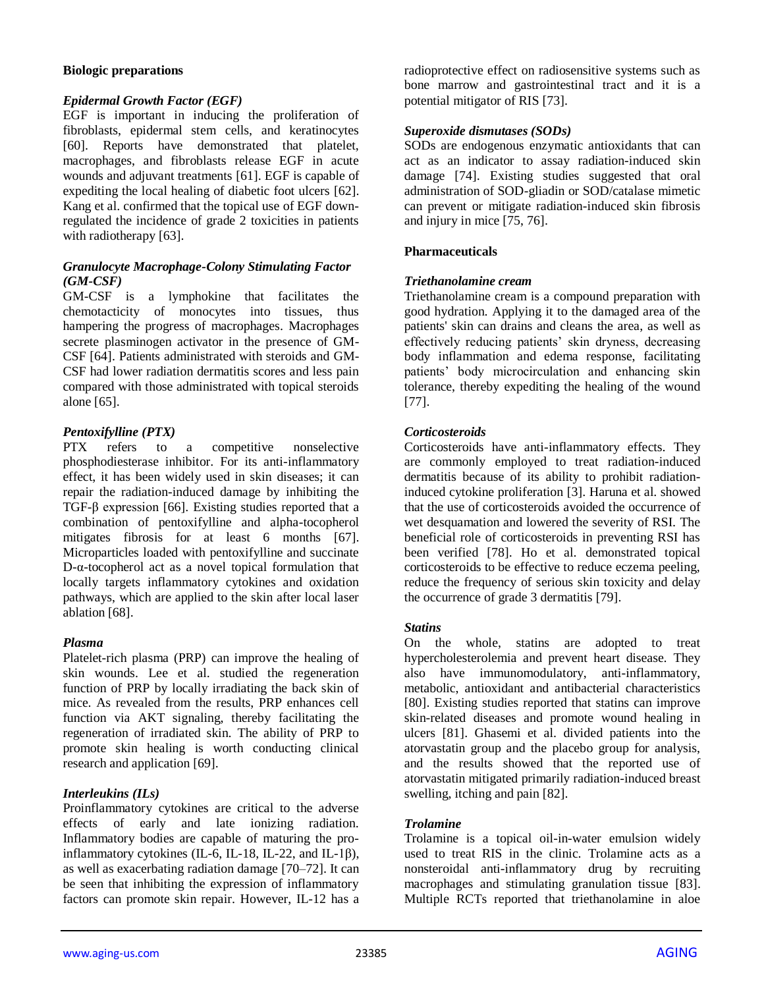## **Biologic preparations**

## *Epidermal Growth Factor (EGF)*

EGF is important in inducing the proliferation of fibroblasts, epidermal stem cells, and keratinocytes [60]. Reports have demonstrated that platelet, macrophages, and fibroblasts release EGF in acute wounds and adjuvant treatments [61]. EGF is capable of expediting the local healing of diabetic foot ulcers [62]. Kang et al. confirmed that the topical use of EGF downregulated the incidence of grade 2 toxicities in patients with radiotherapy [63].

## *Granulocyte Macrophage-Colony Stimulating Factor (GM-CSF)*

GM-CSF is a lymphokine that facilitates the chemotacticity of monocytes into tissues, thus hampering the progress of macrophages. Macrophages secrete plasminogen activator in the presence of GM-CSF [64]. Patients administrated with steroids and GM-CSF had lower radiation dermatitis scores and less pain compared with those administrated with topical steroids alone [65].

# *Pentoxifylline (PTX)*

refers to a competitive nonselective phosphodiesterase inhibitor. For its anti-inflammatory effect, it has been widely used in skin diseases; it can repair the radiation-induced damage by inhibiting the TGF-β expression [66]. Existing studies reported that a combination of pentoxifylline and alpha-tocopherol mitigates fibrosis for at least 6 months [67]. Microparticles loaded with pentoxifylline and succinate D-α-tocopherol act as a novel topical formulation that locally targets inflammatory cytokines and oxidation pathways, which are applied to the skin after local laser ablation [68].

## *Plasma*

Platelet-rich plasma (PRP) can improve the healing of skin wounds. Lee et al. studied the regeneration function of PRP by locally irradiating the back skin of mice. As revealed from the results, PRP enhances cell function via AKT signaling, thereby facilitating the regeneration of irradiated skin. The ability of PRP to promote skin healing is worth conducting clinical research and application [69].

# *Interleukins (ILs)*

Proinflammatory cytokines are critical to the adverse effects of early and late ionizing radiation. Inflammatory bodies are capable of maturing the proinflammatory cytokines (IL-6, IL-18, IL-22, and IL-1β), as well as exacerbating radiation damage [70–72]. It can be seen that inhibiting the expression of inflammatory factors can promote skin repair. However, IL-12 has a

radioprotective effect on radiosensitive systems such as bone marrow and gastrointestinal tract and it is a potential mitigator of RIS [73].

## *Superoxide dismutases (SODs)*

SODs are endogenous enzymatic antioxidants that can act as an indicator to assay radiation-induced skin damage [74]. Existing studies suggested that oral administration of SOD-gliadin or SOD/catalase mimetic can prevent or mitigate radiation-induced skin fibrosis and injury in mice [75, 76].

## **Pharmaceuticals**

## *Triethanolamine cream*

Triethanolamine cream is a compound preparation with good hydration. Applying it to the damaged area of the patients' skin can drains and cleans the area, as well as effectively reducing patients' skin dryness, decreasing body inflammation and edema response, facilitating patients' body microcirculation and enhancing skin tolerance, thereby expediting the healing of the wound [77].

## *Corticosteroids*

Corticosteroids have anti-inflammatory effects. They are commonly employed to treat radiation-induced dermatitis because of its ability to prohibit radiationinduced cytokine proliferation [3]. Haruna et al. showed that the use of corticosteroids avoided the occurrence of wet desquamation and lowered the severity of RSI. The beneficial role of corticosteroids in preventing RSI has been verified [78]. Ho et al. demonstrated topical corticosteroids to be effective to reduce eczema peeling, reduce the frequency of serious skin toxicity and delay the occurrence of grade 3 dermatitis [79].

## *Statins*

On the whole, statins are adopted to treat hypercholesterolemia and prevent heart disease. They also have immunomodulatory, anti-inflammatory, metabolic, antioxidant and antibacterial characteristics [80]. Existing studies reported that statins can improve skin-related diseases and promote wound healing in ulcers [81]. Ghasemi et al. divided patients into the atorvastatin group and the placebo group for analysis, and the results showed that the reported use of atorvastatin mitigated primarily radiation-induced breast swelling, itching and pain [82].

## *Trolamine*

Trolamine is a topical oil-in-water emulsion widely used to treat RIS in the clinic. Trolamine acts as a nonsteroidal anti-inflammatory drug by recruiting macrophages and stimulating granulation tissue [83]. Multiple RCTs reported that triethanolamine in aloe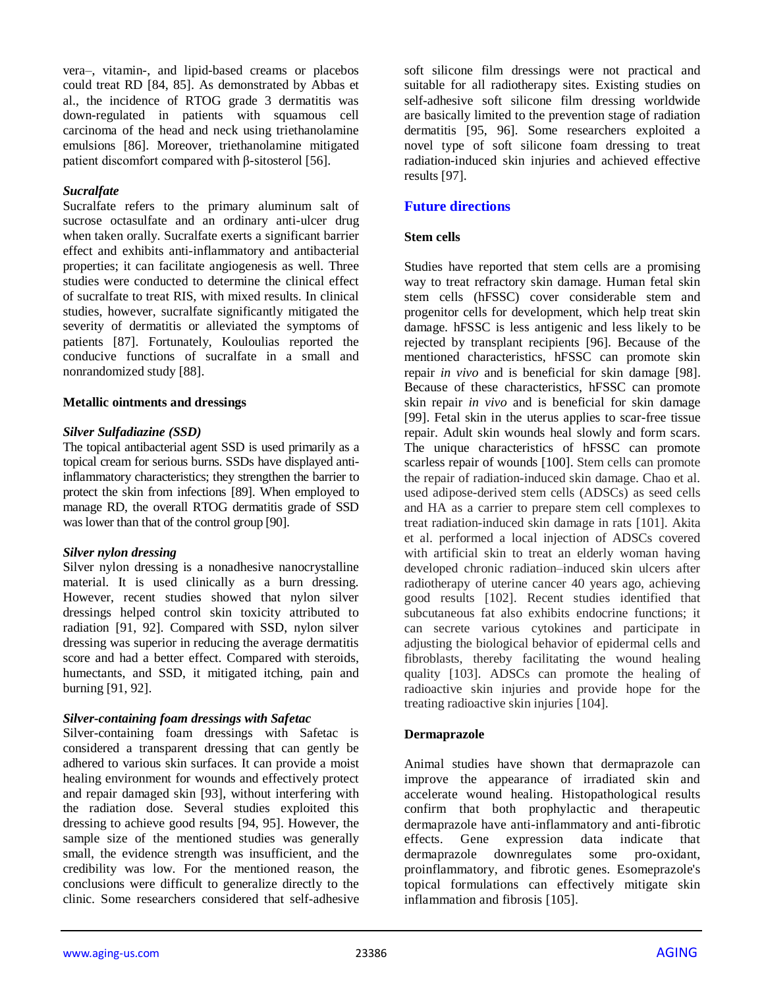vera–, vitamin-, and lipid-based creams or placebos could treat RD [84, 85]. As demonstrated by Abbas et al., the incidence of RTOG grade 3 dermatitis was down-regulated in patients with squamous cell carcinoma of the head and neck using triethanolamine emulsions [86]. Moreover, triethanolamine mitigated patient discomfort compared with β-sitosterol [56].

#### *Sucralfate*

Sucralfate refers to the primary aluminum salt of sucrose octasulfate and an ordinary anti-ulcer drug when taken orally. Sucralfate exerts a significant barrier effect and exhibits anti-inflammatory and antibacterial properties; it can facilitate angiogenesis as well. Three studies were conducted to determine the clinical effect of sucralfate to treat RIS, with mixed results. In clinical studies, however, sucralfate significantly mitigated the severity of dermatitis or alleviated the symptoms of patients [87]. Fortunately, Kouloulias reported the conducive functions of sucralfate in a small and nonrandomized study [88].

#### **Metallic ointments and dressings**

#### *Silver Sulfadiazine (SSD)*

The topical antibacterial agent SSD is used primarily as a topical cream for serious burns. SSDs have displayed antiinflammatory characteristics; they strengthen the barrier to protect the skin from infections [89]. When employed to manage RD, the overall RTOG dermatitis grade of SSD was lower than that of the control group [90].

## *Silver nylon dressing*

Silver nylon dressing is a nonadhesive nanocrystalline material. It is used clinically as a burn dressing. However, recent studies showed that nylon silver dressings helped control skin toxicity attributed to radiation [91, 92]. Compared with SSD, nylon silver dressing was superior in reducing the average dermatitis score and had a better effect. Compared with steroids, humectants, and SSD, it mitigated itching, pain and burning [91, 92].

## *Silver-containing foam dressings with Safetac*

Silver-containing foam dressings with Safetac is considered a transparent dressing that can gently be adhered to various skin surfaces. It can provide a moist healing environment for wounds and effectively protect and repair damaged skin [93], without interfering with the radiation dose. Several studies exploited this dressing to achieve good results [94, 95]. However, the sample size of the mentioned studies was generally small, the evidence strength was insufficient, and the credibility was low. For the mentioned reason, the conclusions were difficult to generalize directly to the clinic. Some researchers considered that self-adhesive

soft silicone film dressings were not practical and suitable for all radiotherapy sites. Existing studies on self-adhesive soft silicone film dressing worldwide are basically limited to the prevention stage of radiation dermatitis [95, 96]. Some researchers exploited a novel type of soft silicone foam dressing to treat radiation-induced skin injuries and achieved effective results [97].

## **Future directions**

#### **Stem cells**

Studies have reported that stem cells are a promising way to treat refractory skin damage. Human fetal skin stem cells (hFSSC) cover considerable stem and progenitor cells for development, which help treat skin damage. hFSSC is less antigenic and less likely to be rejected by transplant recipients [96]. Because of the mentioned characteristics, hFSSC can promote skin repair *in vivo* and is beneficial for skin damage [98]. Because of these characteristics, hFSSC can promote skin repair *in vivo* and is beneficial for skin damage [99]. Fetal skin in the uterus applies to scar-free tissue repair. Adult skin wounds heal slowly and form scars. The unique characteristics of hFSSC can promote scarless repair of wounds [100]. Stem cells can promote the repair of radiation-induced skin damage. Chao et al. used adipose-derived stem cells (ADSCs) as seed cells and HA as a carrier to prepare stem cell complexes to treat radiation-induced skin damage in rats [101]. Akita et al. performed a local injection of ADSCs covered with artificial skin to treat an elderly woman having developed chronic radiation–induced skin ulcers after radiotherapy of uterine cancer 40 years ago, achieving good results [102]. Recent studies identified that subcutaneous fat also exhibits endocrine functions; it can secrete various cytokines and participate in adjusting the biological behavior of epidermal cells and fibroblasts, thereby facilitating the wound healing quality [103]. ADSCs can promote the healing of radioactive skin injuries and provide hope for the treating radioactive skin injuries [104].

## **Dermaprazole**

Animal studies have shown that dermaprazole can improve the appearance of irradiated skin and accelerate wound healing. Histopathological results confirm that both prophylactic and therapeutic dermaprazole have anti-inflammatory and anti-fibrotic effects. Gene expression data indicate that dermaprazole downregulates some pro-oxidant, proinflammatory, and fibrotic genes. Esomeprazole's topical formulations can effectively mitigate skin inflammation and fibrosis [105].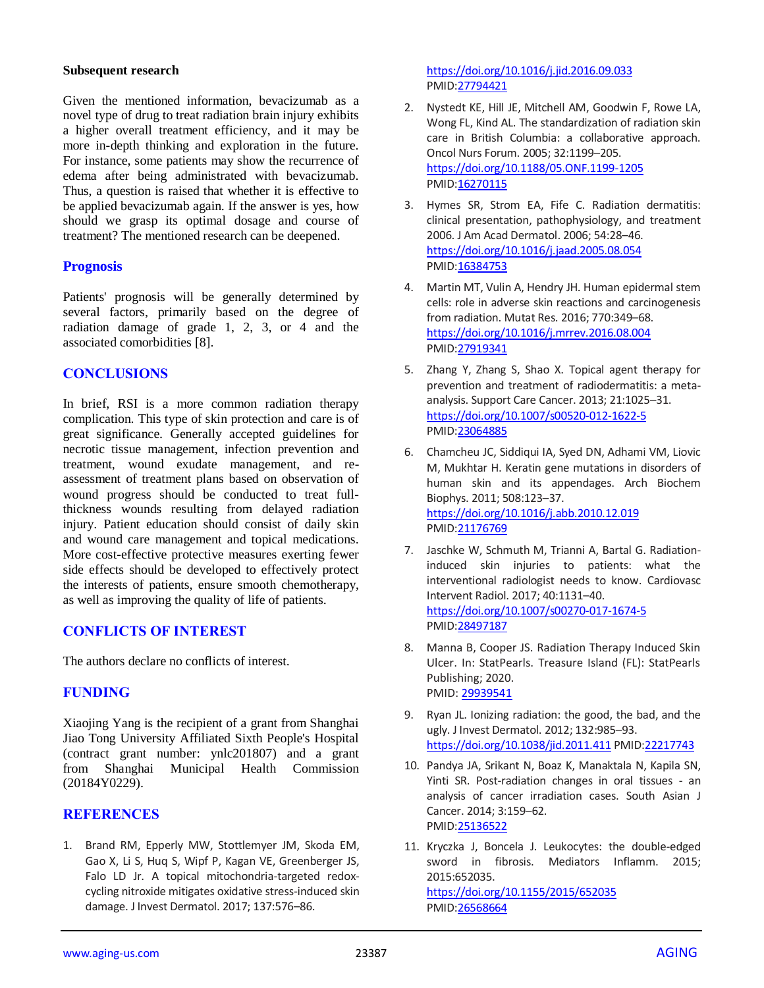#### **Subsequent research**

Given the mentioned information, bevacizumab as a novel type of drug to treat radiation brain injury exhibits a higher overall treatment efficiency, and it may be more in-depth thinking and exploration in the future. For instance, some patients may show the recurrence of edema after being administrated with bevacizumab. Thus, a question is raised that whether it is effective to be applied bevacizumab again. If the answer is yes, how should we grasp its optimal dosage and course of treatment? The mentioned research can be deepened.

## **Prognosis**

Patients' prognosis will be generally determined by several factors, primarily based on the degree of radiation damage of grade 1, 2, 3, or 4 and the associated comorbidities [8].

# **CONCLUSIONS**

In brief, RSI is a more common radiation therapy complication. This type of skin protection and care is of great significance. Generally accepted guidelines for necrotic tissue management, infection prevention and treatment, wound exudate management, and reassessment of treatment plans based on observation of wound progress should be conducted to treat fullthickness wounds resulting from delayed radiation injury. Patient education should consist of daily skin and wound care management and topical medications. More cost-effective protective measures exerting fewer side effects should be developed to effectively protect the interests of patients, ensure smooth chemotherapy, as well as improving the quality of life of patients.

# **CONFLICTS OF INTEREST**

The authors declare no conflicts of interest.

# **FUNDING**

Xiaojing Yang is the recipient of a grant from Shanghai Jiao Tong University Affiliated Sixth People's Hospital (contract grant number: ynlc201807) and a grant from Shanghai Municipal Health Commission (20184Y0229).

# **REFERENCES**

1. Brand RM, Epperly MW, Stottlemyer JM, Skoda EM, Gao X, Li S, Huq S, Wipf P, Kagan VE, Greenberger JS, Falo LD Jr. A topical mitochondria-targeted redoxcycling nitroxide mitigates oxidative stress-induced skin damage. J Invest Dermatol. 2017; 137:576–86.

<https://doi.org/10.1016/j.jid.2016.09.033> PMI[D:27794421](https://pubmed.ncbi.nlm.nih.gov/27794421)

- 2. Nystedt KE, Hill JE, Mitchell AM, Goodwin F, Rowe LA, Wong FL, Kind AL. The standardization of radiation skin care in British Columbia: a collaborative approach. Oncol Nurs Forum. 2005; 32:1199–205. <https://doi.org/10.1188/05.ONF.1199-1205> PMI[D:16270115](https://pubmed.ncbi.nlm.nih.gov/16270115)
- 3. Hymes SR, Strom EA, Fife C. Radiation dermatitis: clinical presentation, pathophysiology, and treatment 2006. J Am Acad Dermatol. 2006; 54:28–46. <https://doi.org/10.1016/j.jaad.2005.08.054> PMI[D:16384753](https://pubmed.ncbi.nlm.nih.gov/16384753)
- 4. Martin MT, Vulin A, Hendry JH. Human epidermal stem cells: role in adverse skin reactions and carcinogenesis from radiation. Mutat Res. 2016; 770:349–68. <https://doi.org/10.1016/j.mrrev.2016.08.004> PMI[D:27919341](https://pubmed.ncbi.nlm.nih.gov/27919341)
- 5. Zhang Y, Zhang S, Shao X. Topical agent therapy for prevention and treatment of radiodermatitis: a metaanalysis. Support Care Cancer. 2013; 21:1025–31. <https://doi.org/10.1007/s00520-012-1622-5> PMI[D:23064885](https://pubmed.ncbi.nlm.nih.gov/23064885)
- 6. Chamcheu JC, Siddiqui IA, Syed DN, Adhami VM, Liovic M, Mukhtar H. Keratin gene mutations in disorders of human skin and its appendages. Arch Biochem Biophys. 2011; 508:123–37. <https://doi.org/10.1016/j.abb.2010.12.019> PMI[D:21176769](https://pubmed.ncbi.nlm.nih.gov/21176769)
- 7. Jaschke W, Schmuth M, Trianni A, Bartal G. Radiationinduced skin injuries to patients: what the interventional radiologist needs to know. Cardiovasc Intervent Radiol. 2017; 40:1131–40. <https://doi.org/10.1007/s00270-017-1674-5> PMI[D:28497187](https://pubmed.ncbi.nlm.nih.gov/28497187)
- 8. Manna B, Cooper JS. Radiation Therapy Induced Skin Ulcer. In: StatPearls. Treasure Island (FL): StatPearls Publishing; 2020. PMID[: 29939541](https://pubmed.ncbi.nlm.nih.gov/29939541/)
- 9. Ryan JL. Ionizing radiation: the good, the bad, and the ugly. J Invest Dermatol. 2012; 132:985–93. <https://doi.org/10.1038/jid.2011.411> PMI[D:22217743](https://pubmed.ncbi.nlm.nih.gov/22217743)
- 10. Pandya JA, Srikant N, Boaz K, Manaktala N, Kapila SN, Yinti SR. Post-radiation changes in oral tissues - an analysis of cancer irradiation cases. South Asian J Cancer. 2014; 3:159–62. PMI[D:25136522](https://pubmed.ncbi.nlm.nih.gov/25136522)
- 11. Kryczka J, Boncela J. Leukocytes: the double-edged sword in fibrosis. Mediators Inflamm. 2015; 2015:652035. <https://doi.org/10.1155/2015/652035> PMI[D:26568664](https://pubmed.ncbi.nlm.nih.gov/26568664)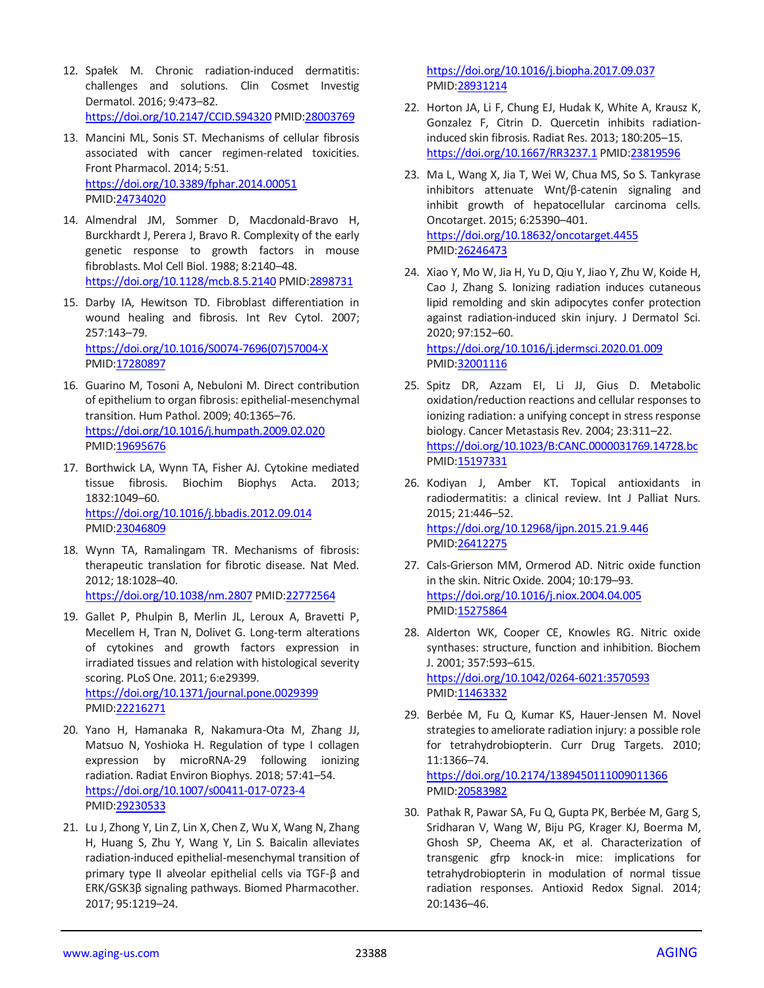- 12. Spałek M. Chronic radiation-induced dermatitis: challenges and solutions. Clin Cosmet Investig Dermatol. 2016; 9:473–82. <https://doi.org/10.2147/CCID.S94320> PMI[D:28003769](https://pubmed.ncbi.nlm.nih.gov/28003769)
- 13. Mancini ML, Sonis ST. Mechanisms of cellular fibrosis associated with cancer regimen-related toxicities. Front Pharmacol. 2014; 5:51. <https://doi.org/10.3389/fphar.2014.00051> PMID[:24734020](https://pubmed.ncbi.nlm.nih.gov/24734020)
- 14. Almendral JM, Sommer D, Macdonald-Bravo H, Burckhardt J, Perera J, Bravo R. Complexity of the early genetic response to growth factors in mouse fibroblasts. Mol Cell Biol. 1988; 8:2140–48. <https://doi.org/10.1128/mcb.8.5.2140> PMID[:2898731](https://pubmed.ncbi.nlm.nih.gov/2898731)
- 15. Darby IA, Hewitson TD. Fibroblast differentiation in wound healing and fibrosis. Int Rev Cytol. 2007; 257:143–79. [https://doi.org/10.1016/S0074-7696\(07\)57004-X](https://doi.org/10.1016/S0074-7696(07)57004-X) PMID[:17280897](https://pubmed.ncbi.nlm.nih.gov/17280897)
- 16. Guarino M, Tosoni A, Nebuloni M. Direct contribution of epithelium to organ fibrosis: epithelial-mesenchymal transition. Hum Pathol. 2009; 40:1365–76. <https://doi.org/10.1016/j.humpath.2009.02.020> PMID[:19695676](https://pubmed.ncbi.nlm.nih.gov/19695676)
- 17. Borthwick LA, Wynn TA, Fisher AJ. Cytokine mediated tissue fibrosis. Biochim Biophys Acta. 2013; 1832:1049–60. <https://doi.org/10.1016/j.bbadis.2012.09.014> PMID[:23046809](https://pubmed.ncbi.nlm.nih.gov/23046809)
- 18. Wynn TA, Ramalingam TR. Mechanisms of fibrosis: therapeutic translation for fibrotic disease. Nat Med. 2012; 18:1028–40. <https://doi.org/10.1038/nm.2807> PMID[:22772564](https://pubmed.ncbi.nlm.nih.gov/22772564)
- 19. Gallet P, Phulpin B, Merlin JL, Leroux A, Bravetti P, Mecellem H, Tran N, Dolivet G. Long-term alterations of cytokines and growth factors expression in irradiated tissues and relation with histological severity scoring. PLoS One. 2011; 6:e29399. <https://doi.org/10.1371/journal.pone.0029399> PMID[:22216271](https://pubmed.ncbi.nlm.nih.gov/22216271)
- 20. Yano H, Hamanaka R, Nakamura-Ota M, Zhang JJ, Matsuo N, Yoshioka H. Regulation of type I collagen expression by microRNA-29 following ionizing radiation. Radiat Environ Biophys. 2018; 57:41–54. <https://doi.org/10.1007/s00411-017-0723-4> PMID[:29230533](https://pubmed.ncbi.nlm.nih.gov/29230533)
- 21. Lu J, Zhong Y, Lin Z, Lin X, Chen Z, Wu X, Wang N, Zhang H, Huang S, Zhu Y, Wang Y, Lin S. Baicalin alleviates radiation-induced epithelial-mesenchymal transition of primary type II alveolar epithelial cells via TGF-β and ERK/GSK3β signaling pathways. Biomed Pharmacother. 2017; 95:1219–24.

<https://doi.org/10.1016/j.biopha.2017.09.037> PMI[D:28931214](https://pubmed.ncbi.nlm.nih.gov/28931214)

- 22. Horton JA, Li F, Chung EJ, Hudak K, White A, Krausz K, Gonzalez F, Citrin D. Quercetin inhibits radiationinduced skin fibrosis. Radiat Res. 2013; 180:205–15. <https://doi.org/10.1667/RR3237.1> PMID[:23819596](https://pubmed.ncbi.nlm.nih.gov/23819596)
- 23. Ma L, Wang X, Jia T, Wei W, Chua MS, So S. Tankyrase inhibitors attenuate Wnt/β-catenin signaling and inhibit growth of hepatocellular carcinoma cells. Oncotarget. 2015; 6:25390–401. <https://doi.org/10.18632/oncotarget.4455> PMI[D:26246473](https://pubmed.ncbi.nlm.nih.gov/26246473)
- 24. Xiao Y, Mo W, Jia H, Yu D, Qiu Y, Jiao Y, Zhu W, Koide H, Cao J, Zhang S. Ionizing radiation induces cutaneous lipid remolding and skin adipocytes confer protection against radiation-induced skin injury. J Dermatol Sci. 2020; 97:152–60.

<https://doi.org/10.1016/j.jdermsci.2020.01.009> PMI[D:32001116](https://pubmed.ncbi.nlm.nih.gov/32001116)

- 25. Spitz DR, Azzam EI, Li JJ, Gius D. Metabolic oxidation/reduction reactions and cellular responses to ionizing radiation: a unifying concept in stress response biology. Cancer Metastasis Rev. 2004; 23:311–22. <https://doi.org/10.1023/B:CANC.0000031769.14728.bc> PMI[D:15197331](https://pubmed.ncbi.nlm.nih.gov/15197331)
- 26. Kodiyan J, Amber KT. Topical antioxidants in radiodermatitis: a clinical review. Int J Palliat Nurs. 2015; 21:446–52. <https://doi.org/10.12968/ijpn.2015.21.9.446> PMI[D:26412275](https://pubmed.ncbi.nlm.nih.gov/26412275)
- 27. Cals-Grierson MM, Ormerod AD. Nitric oxide function in the skin. Nitric Oxide. 2004; 10:179–93. <https://doi.org/10.1016/j.niox.2004.04.005> PMI[D:15275864](https://pubmed.ncbi.nlm.nih.gov/15275864)
- 28. Alderton WK, Cooper CE, Knowles RG. Nitric oxide synthases: structure, function and inhibition. Biochem J. 2001; 357:593–615. <https://doi.org/10.1042/0264-6021:3570593> PMI[D:11463332](https://pubmed.ncbi.nlm.nih.gov/11463332)
- 29. Berbée M, Fu Q, Kumar KS, Hauer-Jensen M. Novel strategies to ameliorate radiation injury: a possible role for tetrahydrobiopterin. Curr Drug Targets. 2010; 11:1366–74. <https://doi.org/10.2174/1389450111009011366> PMI[D:20583982](https://pubmed.ncbi.nlm.nih.gov/20583982)
- 30. Pathak R, Pawar SA, Fu Q, Gupta PK, Berbée M, Garg S, Sridharan V, Wang W, Biju PG, Krager KJ, Boerma M, Ghosh SP, Cheema AK, et al. Characterization of transgenic gfrp knock-in mice: implications for tetrahydrobiopterin in modulation of normal tissue radiation responses. Antioxid Redox Signal. 2014; 20:1436–46.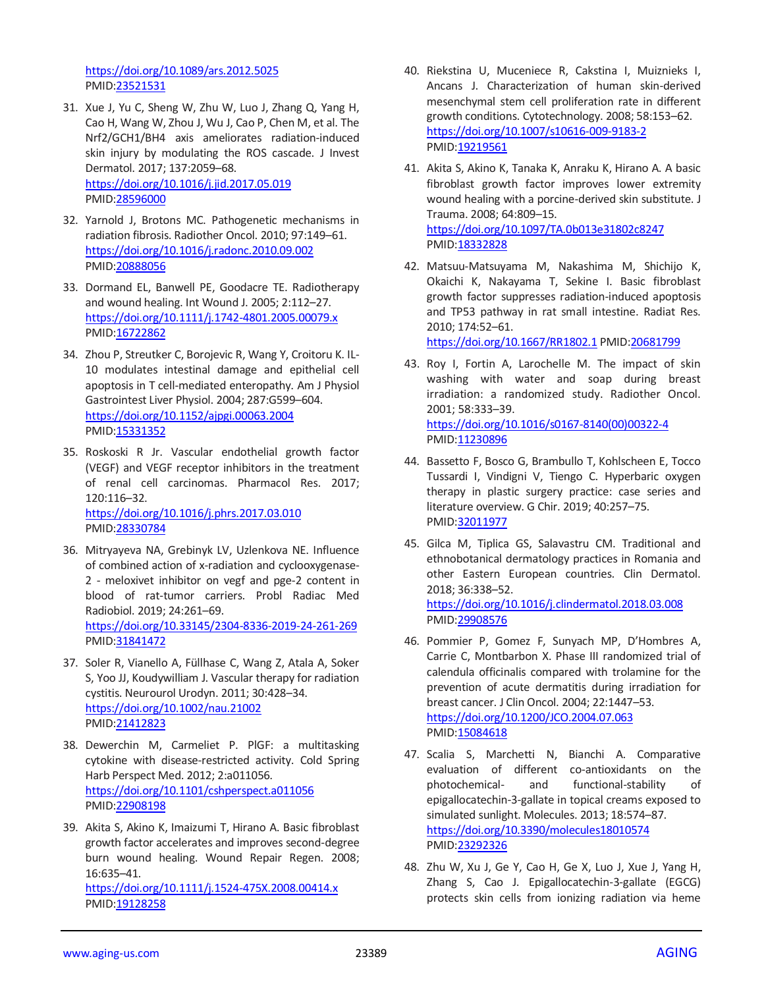<https://doi.org/10.1089/ars.2012.5025> PMID[:23521531](https://pubmed.ncbi.nlm.nih.gov/23521531)

- 31. Xue J, Yu C, Sheng W, Zhu W, Luo J, Zhang Q, Yang H, Cao H, Wang W, Zhou J, Wu J, Cao P, Chen M, et al. The Nrf2/GCH1/BH4 axis ameliorates radiation-induced skin injury by modulating the ROS cascade. J Invest Dermatol. 2017; 137:2059–68. <https://doi.org/10.1016/j.jid.2017.05.019> PMID[:28596000](https://pubmed.ncbi.nlm.nih.gov/28596000)
- 32. Yarnold J, Brotons MC. Pathogenetic mechanisms in radiation fibrosis. Radiother Oncol. 2010; 97:149–61. <https://doi.org/10.1016/j.radonc.2010.09.002> PMID[:20888056](https://pubmed.ncbi.nlm.nih.gov/20888056)
- 33. Dormand EL, Banwell PE, Goodacre TE. Radiotherapy and wound healing. Int Wound J. 2005; 2:112–27. <https://doi.org/10.1111/j.1742-4801.2005.00079.x> PMID[:16722862](https://pubmed.ncbi.nlm.nih.gov/16722862)
- 34. Zhou P, Streutker C, Borojevic R, Wang Y, Croitoru K. IL-10 modulates intestinal damage and epithelial cell apoptosis in T cell-mediated enteropathy. Am J Physiol Gastrointest Liver Physiol. 2004; 287:G599–604. <https://doi.org/10.1152/ajpgi.00063.2004> PMID[:15331352](https://pubmed.ncbi.nlm.nih.gov/15331352)
- 35. Roskoski R Jr. Vascular endothelial growth factor (VEGF) and VEGF receptor inhibitors in the treatment of renal cell carcinomas. Pharmacol Res. 2017; 120:116–32. <https://doi.org/10.1016/j.phrs.2017.03.010> PMID[:28330784](https://pubmed.ncbi.nlm.nih.gov/28330784)
- 36. Mitryayeva NA, Grebinyk LV, Uzlenkova NE. Influence of combined action of x-radiation and cyclooxygenase-2 - meloxivet inhibitor on vegf and pge-2 content in blood of rat-tumor carriers. Probl Radiac Med Radiobiol. 2019; 24:261–69. <https://doi.org/10.33145/2304-8336-2019-24-261-269> PMID[:31841472](https://pubmed.ncbi.nlm.nih.gov/31841472)
- 37. Soler R, Vianello A, Füllhase C, Wang Z, Atala A, Soker S, Yoo JJ, Koudywilliam J. Vascular therapy for radiation cystitis. Neurourol Urodyn. 2011; 30:428–34. <https://doi.org/10.1002/nau.21002> PMID[:21412823](https://pubmed.ncbi.nlm.nih.gov/21412823)
- 38. Dewerchin M, Carmeliet P. PlGF: a multitasking cytokine with disease-restricted activity. Cold Spring Harb Perspect Med. 2012; 2:a011056. <https://doi.org/10.1101/cshperspect.a011056> PMID[:22908198](https://pubmed.ncbi.nlm.nih.gov/22908198)
- 39. Akita S, Akino K, Imaizumi T, Hirano A. Basic fibroblast growth factor accelerates and improves second-degree burn wound healing. Wound Repair Regen. 2008; 16:635–41. <https://doi.org/10.1111/j.1524-475X.2008.00414.x> PMID[:19128258](https://pubmed.ncbi.nlm.nih.gov/19128258)
- 40. Riekstina U, Muceniece R, Cakstina I, Muiznieks I, Ancans J. Characterization of human skin-derived mesenchymal stem cell proliferation rate in different growth conditions. Cytotechnology. 2008; 58:153–62. <https://doi.org/10.1007/s10616-009-9183-2> PMI[D:19219561](https://pubmed.ncbi.nlm.nih.gov/19219561)
- 41. Akita S, Akino K, Tanaka K, Anraku K, Hirano A. A basic fibroblast growth factor improves lower extremity wound healing with a porcine-derived skin substitute. J Trauma. 2008; 64:809–15. <https://doi.org/10.1097/TA.0b013e31802c8247> PMI[D:18332828](https://pubmed.ncbi.nlm.nih.gov/18332828)
- 42. Matsuu-Matsuyama M, Nakashima M, Shichijo K, Okaichi K, Nakayama T, Sekine I. Basic fibroblast growth factor suppresses radiation-induced apoptosis and TP53 pathway in rat small intestine. Radiat Res. 2010; 174:52–61. <https://doi.org/10.1667/RR1802.1> PMID[:20681799](https://pubmed.ncbi.nlm.nih.gov/20681799)

43. Roy I, Fortin A, Larochelle M. The impact of skin washing with water and soap during breast irradiation: a randomized study. Radiother Oncol. 2001; 58:333–39. [https://doi.org/10.1016/s0167-8140\(00\)00322-4](https://doi.org/10.1016/s0167-8140(00)00322-4) PMI[D:11230896](https://pubmed.ncbi.nlm.nih.gov/11230896)

- 44. Bassetto F, Bosco G, Brambullo T, Kohlscheen E, Tocco Tussardi I, Vindigni V, Tiengo C. Hyperbaric oxygen therapy in plastic surgery practice: case series and literature overview. G Chir. 2019; 40:257–75. PMI[D:32011977](https://pubmed.ncbi.nlm.nih.gov/32011977)
- 45. Gilca M, Tiplica GS, Salavastru CM. Traditional and ethnobotanical dermatology practices in Romania and other Eastern European countries. Clin Dermatol. 2018; 36:338–52. <https://doi.org/10.1016/j.clindermatol.2018.03.008> PMI[D:29908576](https://pubmed.ncbi.nlm.nih.gov/29908576)
- 46. Pommier P, Gomez F, Sunyach MP, D'Hombres A, Carrie C, Montbarbon X. Phase III randomized trial of calendula officinalis compared with trolamine for the prevention of acute dermatitis during irradiation for breast cancer. J Clin Oncol. 2004; 22:1447–53. <https://doi.org/10.1200/JCO.2004.07.063> PMI[D:15084618](https://pubmed.ncbi.nlm.nih.gov/15084618)
- 47. Scalia S, Marchetti N, Bianchi A. Comparative evaluation of different co-antioxidants on the photochemical- and functional-stability of epigallocatechin-3-gallate in topical creams exposed to simulated sunlight. Molecules. 2013; 18:574–87. <https://doi.org/10.3390/molecules18010574> PMI[D:23292326](https://pubmed.ncbi.nlm.nih.gov/23292326)
- 48. Zhu W, Xu J, Ge Y, Cao H, Ge X, Luo J, Xue J, Yang H, Zhang S, Cao J. Epigallocatechin-3-gallate (EGCG) protects skin cells from ionizing radiation via heme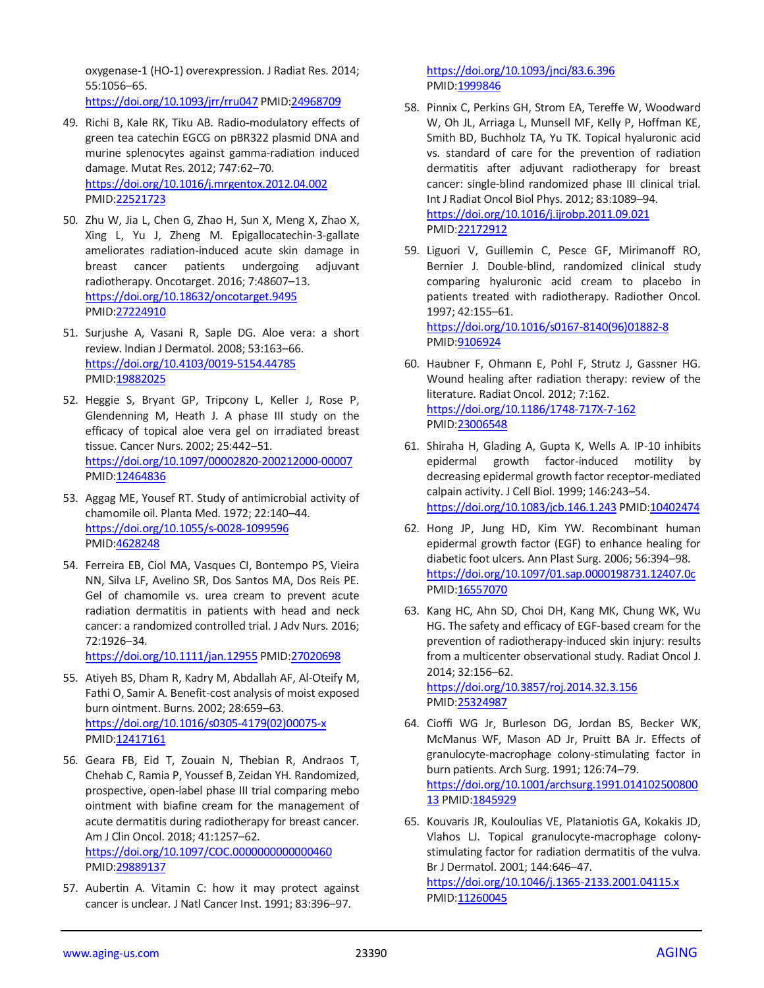oxygenase-1 (HO-1) overexpression. J Radiat Res. 2014; 55:1056–65.

<https://doi.org/10.1093/jrr/rru047> PMI[D:24968709](https://pubmed.ncbi.nlm.nih.gov/24968709)

- 49. Richi B, Kale RK, Tiku AB. Radio-modulatory effects of green tea catechin EGCG on pBR322 plasmid DNA and murine splenocytes against gamma-radiation induced damage. Mutat Res. 2012; 747:62–70. <https://doi.org/10.1016/j.mrgentox.2012.04.002> PMID[:22521723](https://pubmed.ncbi.nlm.nih.gov/22521723)
- 50. Zhu W, Jia L, Chen G, Zhao H, Sun X, Meng X, Zhao X, Xing L, Yu J, Zheng M. Epigallocatechin-3-gallate ameliorates radiation-induced acute skin damage in breast cancer patients undergoing adjuvant radiotherapy. Oncotarget. 2016; 7:48607–13. <https://doi.org/10.18632/oncotarget.9495> PMID[:27224910](https://pubmed.ncbi.nlm.nih.gov/27224910)
- 51. Surjushe A, Vasani R, Saple DG. Aloe vera: a short review. Indian J Dermatol. 2008; 53:163–66. <https://doi.org/10.4103/0019-5154.44785> PMID[:19882025](https://pubmed.ncbi.nlm.nih.gov/19882025)
- 52. Heggie S, Bryant GP, Tripcony L, Keller J, Rose P, Glendenning M, Heath J. A phase III study on the efficacy of topical aloe vera gel on irradiated breast tissue. Cancer Nurs. 2002; 25:442–51. <https://doi.org/10.1097/00002820-200212000-00007> PMID[:12464836](https://pubmed.ncbi.nlm.nih.gov/12464836)
- 53. Aggag ME, Yousef RT. Study of antimicrobial activity of chamomile oil. Planta Med. 1972; 22:140–44. <https://doi.org/10.1055/s-0028-1099596> PMID[:4628248](https://pubmed.ncbi.nlm.nih.gov/4628248)
- 54. Ferreira EB, Ciol MA, Vasques CI, Bontempo PS, Vieira NN, Silva LF, Avelino SR, Dos Santos MA, Dos Reis PE. Gel of chamomile vs. urea cream to prevent acute radiation dermatitis in patients with head and neck cancer: a randomized controlled trial. J Adv Nurs. 2016; 72:1926–34.

<https://doi.org/10.1111/jan.12955> PMID[:27020698](https://pubmed.ncbi.nlm.nih.gov/27020698)

- 55. Atiyeh BS, Dham R, Kadry M, Abdallah AF, Al-Oteify M, Fathi O, Samir A. Benefit-cost analysis of moist exposed burn ointment. Burns. 2002; 28:659–63. [https://doi.org/10.1016/s0305-4179\(02\)00075-x](https://doi.org/10.1016/s0305-4179(02)00075-x) PMID: 12417161
- 56. Geara FB, Eid T, Zouain N, Thebian R, Andraos T, Chehab C, Ramia P, Youssef B, Zeidan YH. Randomized, prospective, open-label phase III trial comparing mebo ointment with biafine cream for the management of acute dermatitis during radiotherapy for breast cancer. Am J Clin Oncol. 2018; 41:1257–62.

<https://doi.org/10.1097/COC.0000000000000460> PMID[:29889137](https://pubmed.ncbi.nlm.nih.gov/29889137)

57. Aubertin A. Vitamin C: how it may protect against cancer is unclear. J Natl Cancer Inst. 1991; 83:396–97.

<https://doi.org/10.1093/jnci/83.6.396> PMI[D:1999846](https://pubmed.ncbi.nlm.nih.gov/1999846)

- 58. Pinnix C, Perkins GH, Strom EA, Tereffe W, Woodward W, Oh JL, Arriaga L, Munsell MF, Kelly P, Hoffman KE, Smith BD, Buchholz TA, Yu TK. Topical hyaluronic acid vs. standard of care for the prevention of radiation dermatitis after adjuvant radiotherapy for breast cancer: single-blind randomized phase III clinical trial. Int J Radiat Oncol Biol Phys. 2012; 83:1089–94. <https://doi.org/10.1016/j.ijrobp.2011.09.021> PMI[D:22172912](https://pubmed.ncbi.nlm.nih.gov/22172912)
- 59. Liguori V, Guillemin C, Pesce GF, Mirimanoff RO, Bernier J. Double-blind, randomized clinical study comparing hyaluronic acid cream to placebo in patients treated with radiotherapy. Radiother Oncol. 1997; 42:155–61. [https://doi.org/10.1016/s0167-8140\(96\)01882-8](https://doi.org/10.1016/s0167-8140(96)01882-8)

PMI[D:9106924](https://pubmed.ncbi.nlm.nih.gov/9106924)

- 60. Haubner F, Ohmann E, Pohl F, Strutz J, Gassner HG. Wound healing after radiation therapy: review of the literature. Radiat Oncol. 2012; 7:162. <https://doi.org/10.1186/1748-717X-7-162> PMI[D:23006548](https://pubmed.ncbi.nlm.nih.gov/23006548)
- 61. Shiraha H, Glading A, Gupta K, Wells A. IP-10 inhibits epidermal growth factor-induced motility by decreasing epidermal growth factor receptor-mediated calpain activity. J Cell Biol. 1999; 146:243–54. <https://doi.org/10.1083/jcb.146.1.243> PMID[:10402474](https://pubmed.ncbi.nlm.nih.gov/10402474)
- 62. Hong JP, Jung HD, Kim YW. Recombinant human epidermal growth factor (EGF) to enhance healing for diabetic foot ulcers. Ann Plast Surg. 2006; 56:394–98. <https://doi.org/10.1097/01.sap.0000198731.12407.0c> PMI[D:16557070](https://pubmed.ncbi.nlm.nih.gov/16557070)
- 63. Kang HC, Ahn SD, Choi DH, Kang MK, Chung WK, Wu HG. The safety and efficacy of EGF-based cream for the prevention of radiotherapy-induced skin injury: results from a multicenter observational study. Radiat Oncol J. 2014; 32:156–62.

<https://doi.org/10.3857/roj.2014.32.3.156> PMI[D:25324987](https://pubmed.ncbi.nlm.nih.gov/25324987)

- 64. Cioffi WG Jr, Burleson DG, Jordan BS, Becker WK, McManus WF, Mason AD Jr, Pruitt BA Jr. Effects of granulocyte-macrophage colony-stimulating factor in burn patients. Arch Surg. 1991; 126:74–79. [https://doi.org/10.1001/archsurg.1991.014102500800](https://doi.org/10.1001/archsurg.1991.01410250080013) [13](https://doi.org/10.1001/archsurg.1991.01410250080013) PMI[D:1845929](https://pubmed.ncbi.nlm.nih.gov/1845929)
- 65. Kouvaris JR, Kouloulias VE, Plataniotis GA, Kokakis JD, Vlahos LJ. Topical granulocyte-macrophage colonystimulating factor for radiation dermatitis of the vulva. Br J Dermatol. 2001; 144:646–47. <https://doi.org/10.1046/j.1365-2133.2001.04115.x> PMID: 11260045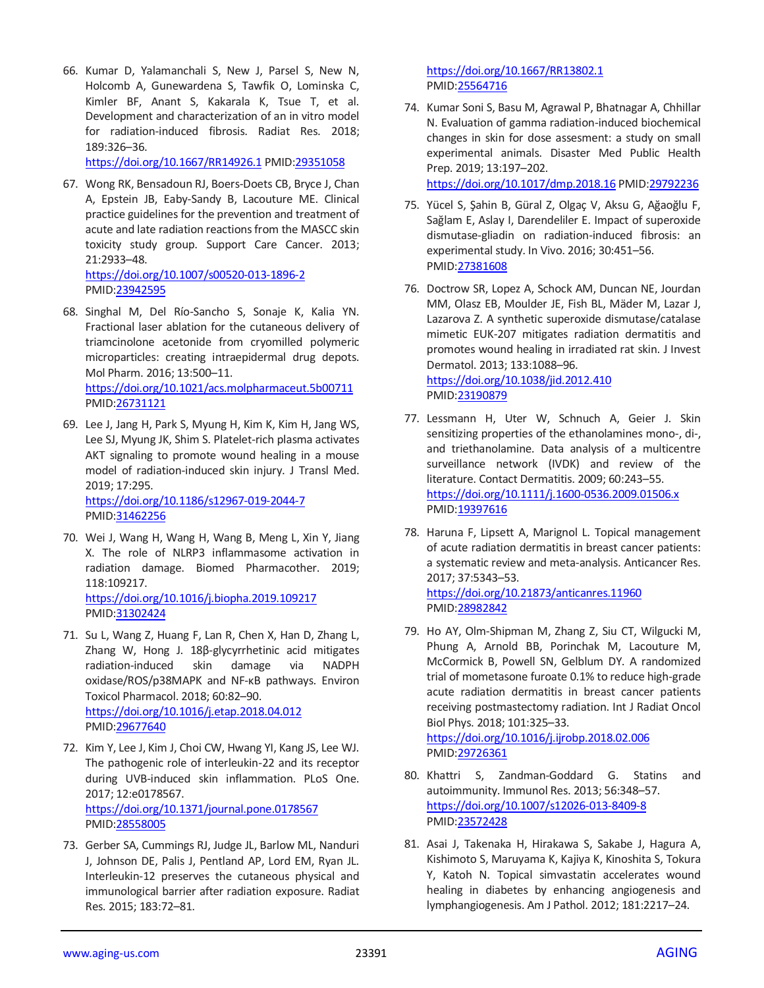66. Kumar D, Yalamanchali S, New J, Parsel S, New N, Holcomb A, Gunewardena S, Tawfik O, Lominska C, Kimler BF, Anant S, Kakarala K, Tsue T, et al. Development and characterization of an in vitro model for radiation-induced fibrosis. Radiat Res. 2018; 189:326–36.

<https://doi.org/10.1667/RR14926.1> PMI[D:29351058](https://pubmed.ncbi.nlm.nih.gov/29351058)

67. Wong RK, Bensadoun RJ, Boers-Doets CB, Bryce J, Chan A, Epstein JB, Eaby-Sandy B, Lacouture ME. Clinical practice guidelines for the prevention and treatment of acute and late radiation reactions from the MASCC skin toxicity study group. Support Care Cancer. 2013; 21:2933–48. <https://doi.org/10.1007/s00520-013-1896-2>

PMID[:23942595](https://pubmed.ncbi.nlm.nih.gov/23942595)

- 68. Singhal M, Del Río-Sancho S, Sonaje K, Kalia YN. Fractional laser ablation for the cutaneous delivery of triamcinolone acetonide from cryomilled polymeric microparticles: creating intraepidermal drug depots. Mol Pharm. 2016; 13:500–11. <https://doi.org/10.1021/acs.molpharmaceut.5b00711> PMID[:26731121](https://pubmed.ncbi.nlm.nih.gov/26731121)
- 69. Lee J, Jang H, Park S, Myung H, Kim K, Kim H, Jang WS, Lee SJ, Myung JK, Shim S. Platelet-rich plasma activates AKT signaling to promote wound healing in a mouse model of radiation-induced skin injury. J Transl Med. 2019; 17:295. <https://doi.org/10.1186/s12967-019-2044-7>

PMID[:31462256](https://pubmed.ncbi.nlm.nih.gov/31462256)

- 70. Wei J, Wang H, Wang H, Wang B, Meng L, Xin Y, Jiang X. The role of NLRP3 inflammasome activation in radiation damage. Biomed Pharmacother. 2019; 118:109217. <https://doi.org/10.1016/j.biopha.2019.109217> PMID[:31302424](https://pubmed.ncbi.nlm.nih.gov/31302424)
- 71. Su L, Wang Z, Huang F, Lan R, Chen X, Han D, Zhang L, Zhang W, Hong J. 18β-glycyrrhetinic acid mitigates radiation-induced skin damage via NADPH oxidase/ROS/p38MAPK and NF-κB pathways. Environ Toxicol Pharmacol. 2018; 60:82–90. <https://doi.org/10.1016/j.etap.2018.04.012> PMID[:29677640](https://pubmed.ncbi.nlm.nih.gov/29677640)
- 72. Kim Y, Lee J, Kim J, Choi CW, Hwang YI, Kang JS, Lee WJ. The pathogenic role of interleukin-22 and its receptor during UVB-induced skin inflammation. PLoS One. 2017; 12:e0178567. <https://doi.org/10.1371/journal.pone.0178567> PMID[:28558005](https://pubmed.ncbi.nlm.nih.gov/28558005)
- 73. Gerber SA, Cummings RJ, Judge JL, Barlow ML, Nanduri J, Johnson DE, Palis J, Pentland AP, Lord EM, Ryan JL. Interleukin-12 preserves the cutaneous physical and immunological barrier after radiation exposure. Radiat Res. 2015; 183:72–81.

<https://doi.org/10.1667/RR13802.1> PMI[D:25564716](https://pubmed.ncbi.nlm.nih.gov/25564716)

74. Kumar Soni S, Basu M, Agrawal P, Bhatnagar A, Chhillar N. Evaluation of gamma radiation-induced biochemical changes in skin for dose assesment: a study on small experimental animals. Disaster Med Public Health Prep. 2019; 13:197–202.

<https://doi.org/10.1017/dmp.2018.16> PMI[D:29792236](https://pubmed.ncbi.nlm.nih.gov/29792236)

- 75. Yücel S, Şahin B, Güral Z, Olgaç V, Aksu G, Ağaoğlu F, Sağlam E, Aslay I, Darendeliler E. Impact of superoxide dismutase-gliadin on radiation-induced fibrosis: an experimental study. In Vivo. 2016; 30:451–56. PMI[D:27381608](https://pubmed.ncbi.nlm.nih.gov/27381608)
- 76. Doctrow SR, Lopez A, Schock AM, Duncan NE, Jourdan MM, Olasz EB, Moulder JE, Fish BL, Mäder M, Lazar J, Lazarova Z. A synthetic superoxide dismutase/catalase mimetic EUK-207 mitigates radiation dermatitis and promotes wound healing in irradiated rat skin. J Invest Dermatol. 2013; 133:1088–96.

<https://doi.org/10.1038/jid.2012.410> PMI[D:23190879](https://pubmed.ncbi.nlm.nih.gov/23190879)

- 77. Lessmann H, Uter W, Schnuch A, Geier J. Skin sensitizing properties of the ethanolamines mono-, di-, and triethanolamine. Data analysis of a multicentre surveillance network (IVDK) and review of the literature. Contact Dermatitis. 2009; 60:243–55. <https://doi.org/10.1111/j.1600-0536.2009.01506.x> PMI[D:19397616](https://pubmed.ncbi.nlm.nih.gov/19397616)
- 78. Haruna F, Lipsett A, Marignol L. Topical management of acute radiation dermatitis in breast cancer patients: a systematic review and meta-analysis. Anticancer Res. 2017; 37:5343–53. <https://doi.org/10.21873/anticanres.11960> PMI[D:28982842](https://pubmed.ncbi.nlm.nih.gov/28982842)
- 79. Ho AY, Olm-Shipman M, Zhang Z, Siu CT, Wilgucki M, Phung A, Arnold BB, Porinchak M, Lacouture M, McCormick B, Powell SN, Gelblum DY. A randomized trial of mometasone furoate 0.1% to reduce high-grade acute radiation dermatitis in breast cancer patients receiving postmastectomy radiation. Int J Radiat Oncol Biol Phys. 2018; 101:325–33. <https://doi.org/10.1016/j.ijrobp.2018.02.006>

PMI[D:29726361](https://pubmed.ncbi.nlm.nih.gov/29726361)

- 80. Khattri S, Zandman-Goddard G. Statins and autoimmunity. Immunol Res. 2013; 56:348–57. <https://doi.org/10.1007/s12026-013-8409-8> PMI[D:23572428](https://pubmed.ncbi.nlm.nih.gov/23572428)
- 81. Asai J, Takenaka H, Hirakawa S, Sakabe J, Hagura A, Kishimoto S, Maruyama K, Kajiya K, Kinoshita S, Tokura Y, Katoh N. Topical simvastatin accelerates wound healing in diabetes by enhancing angiogenesis and lymphangiogenesis. Am J Pathol. 2012; 181:2217–24.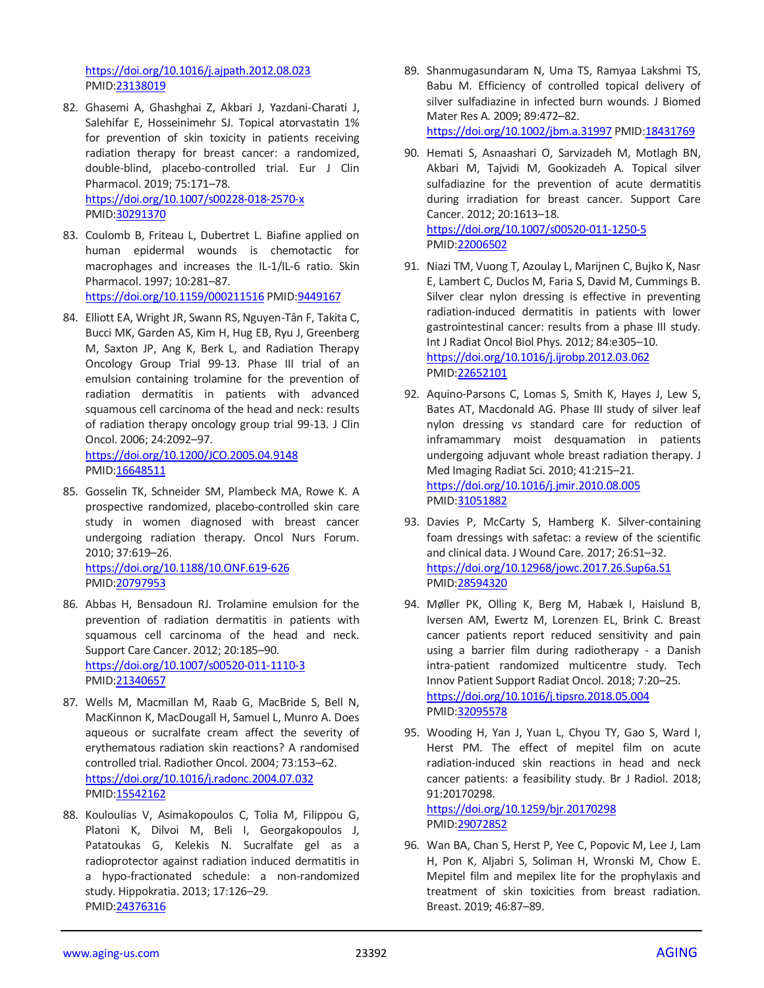<https://doi.org/10.1016/j.ajpath.2012.08.023> PMID[:23138019](https://pubmed.ncbi.nlm.nih.gov/23138019)

- 82. Ghasemi A, Ghashghai Z, Akbari J, Yazdani-Charati J, Salehifar E, Hosseinimehr SJ. Topical atorvastatin 1% for prevention of skin toxicity in patients receiving radiation therapy for breast cancer: a randomized, double-blind, placebo-controlled trial. Eur J Clin Pharmacol. 2019; 75:171–78. <https://doi.org/10.1007/s00228-018-2570-x> PMID[:30291370](https://pubmed.ncbi.nlm.nih.gov/30291370)
- 83. Coulomb B, Friteau L, Dubertret L. Biafine applied on human epidermal wounds is chemotactic for macrophages and increases the IL-1/IL-6 ratio. Skin Pharmacol. 1997; 10:281–87. <https://doi.org/10.1159/000211516> PMI[D:9449167](https://pubmed.ncbi.nlm.nih.gov/9449167)
- 84. Elliott EA, Wright JR, Swann RS, Nguyen-Tân F, Takita C, Bucci MK, Garden AS, Kim H, Hug EB, Ryu J, Greenberg M, Saxton JP, Ang K, Berk L, and Radiation Therapy Oncology Group Trial 99-13. Phase III trial of an emulsion containing trolamine for the prevention of radiation dermatitis in patients with advanced squamous cell carcinoma of the head and neck: results of radiation therapy oncology group trial 99-13. J Clin Oncol. 2006; 24:2092–97. <https://doi.org/10.1200/JCO.2005.04.9148>

PMID[:16648511](https://pubmed.ncbi.nlm.nih.gov/16648511)

85. Gosselin TK, Schneider SM, Plambeck MA, Rowe K. A prospective randomized, placebo-controlled skin care study in women diagnosed with breast cancer undergoing radiation therapy. Oncol Nurs Forum. 2010; 37:619–26. <https://doi.org/10.1188/10.ONF.619-626>

PMID[:20797953](https://pubmed.ncbi.nlm.nih.gov/20797953)

- 86. Abbas H, Bensadoun RJ. Trolamine emulsion for the prevention of radiation dermatitis in patients with squamous cell carcinoma of the head and neck. Support Care Cancer. 2012; 20:185–90. <https://doi.org/10.1007/s00520-011-1110-3> PMID[:21340657](https://pubmed.ncbi.nlm.nih.gov/21340657)
- 87. Wells M, Macmillan M, Raab G, MacBride S, Bell N, MacKinnon K, MacDougall H, Samuel L, Munro A. Does aqueous or sucralfate cream affect the severity of erythematous radiation skin reactions? A randomised controlled trial. Radiother Oncol. 2004; 73:153–62. <https://doi.org/10.1016/j.radonc.2004.07.032> PMID[:15542162](https://pubmed.ncbi.nlm.nih.gov/15542162)
- 88. Kouloulias V, Asimakopoulos C, Tolia M, Filippou G, Platoni K, Dilvoi M, Beli I, Georgakopoulos J, Patatoukas G, Kelekis N. Sucralfate gel as a radioprotector against radiation induced dermatitis in a hypo-fractionated schedule: a non-randomized study. Hippokratia. 2013; 17:126–29. PMID[:24376316](https://pubmed.ncbi.nlm.nih.gov/24376316)

89. Shanmugasundaram N, Uma TS, Ramyaa Lakshmi TS, Babu M. Efficiency of controlled topical delivery of silver sulfadiazine in infected burn wounds. J Biomed Mater Res A. 2009; 89:472–82. <https://doi.org/10.1002/jbm.a.31997> PMID[:18431769](https://pubmed.ncbi.nlm.nih.gov/18431769)

90. Hemati S, Asnaashari O, Sarvizadeh M, Motlagh BN, Akbari M, Tajvidi M, Gookizadeh A. Topical silver sulfadiazine for the prevention of acute dermatitis during irradiation for breast cancer. Support Care Cancer. 2012; 20:1613–18. <https://doi.org/10.1007/s00520-011-1250-5> PMI[D:22006502](https://pubmed.ncbi.nlm.nih.gov/22006502)

- 91. Niazi TM, Vuong T, Azoulay L, Marijnen C, Bujko K, Nasr E, Lambert C, Duclos M, Faria S, David M, Cummings B. Silver clear nylon dressing is effective in preventing radiation-induced dermatitis in patients with lower gastrointestinal cancer: results from a phase III study. Int J Radiat Oncol Biol Phys. 2012; 84:e305–10. <https://doi.org/10.1016/j.ijrobp.2012.03.062> PMI[D:22652101](https://pubmed.ncbi.nlm.nih.gov/22652101)
- 92. Aquino-Parsons C, Lomas S, Smith K, Hayes J, Lew S, Bates AT, Macdonald AG. Phase III study of silver leaf nylon dressing vs standard care for reduction of inframammary moist desquamation in patients undergoing adjuvant whole breast radiation therapy. J Med Imaging Radiat Sci. 2010; 41:215–21. <https://doi.org/10.1016/j.jmir.2010.08.005> PMI[D:31051882](https://pubmed.ncbi.nlm.nih.gov/31051882)
- 93. Davies P, McCarty S, Hamberg K. Silver-containing foam dressings with safetac: a review of the scientific and clinical data. J Wound Care. 2017; 26:S1–32. <https://doi.org/10.12968/jowc.2017.26.Sup6a.S1> PMI[D:28594320](https://pubmed.ncbi.nlm.nih.gov/28594320)
- 94. Møller PK, Olling K, Berg M, Habæk I, Haislund B, Iversen AM, Ewertz M, Lorenzen EL, Brink C. Breast cancer patients report reduced sensitivity and pain using a barrier film during radiotherapy - a Danish intra-patient randomized multicentre study. Tech Innov Patient Support Radiat Oncol. 2018; 7:20–25. <https://doi.org/10.1016/j.tipsro.2018.05.004> PMI[D:32095578](https://pubmed.ncbi.nlm.nih.gov/32095578)
- 95. Wooding H, Yan J, Yuan L, Chyou TY, Gao S, Ward I, Herst PM. The effect of mepitel film on acute radiation-induced skin reactions in head and neck cancer patients: a feasibility study. Br J Radiol. 2018; 91:20170298.

<https://doi.org/10.1259/bjr.20170298> PMI[D:29072852](https://pubmed.ncbi.nlm.nih.gov/29072852)

96. Wan BA, Chan S, Herst P, Yee C, Popovic M, Lee J, Lam H, Pon K, Aljabri S, Soliman H, Wronski M, Chow E. Mepitel film and mepilex lite for the prophylaxis and treatment of skin toxicities from breast radiation. Breast. 2019; 46:87–89.